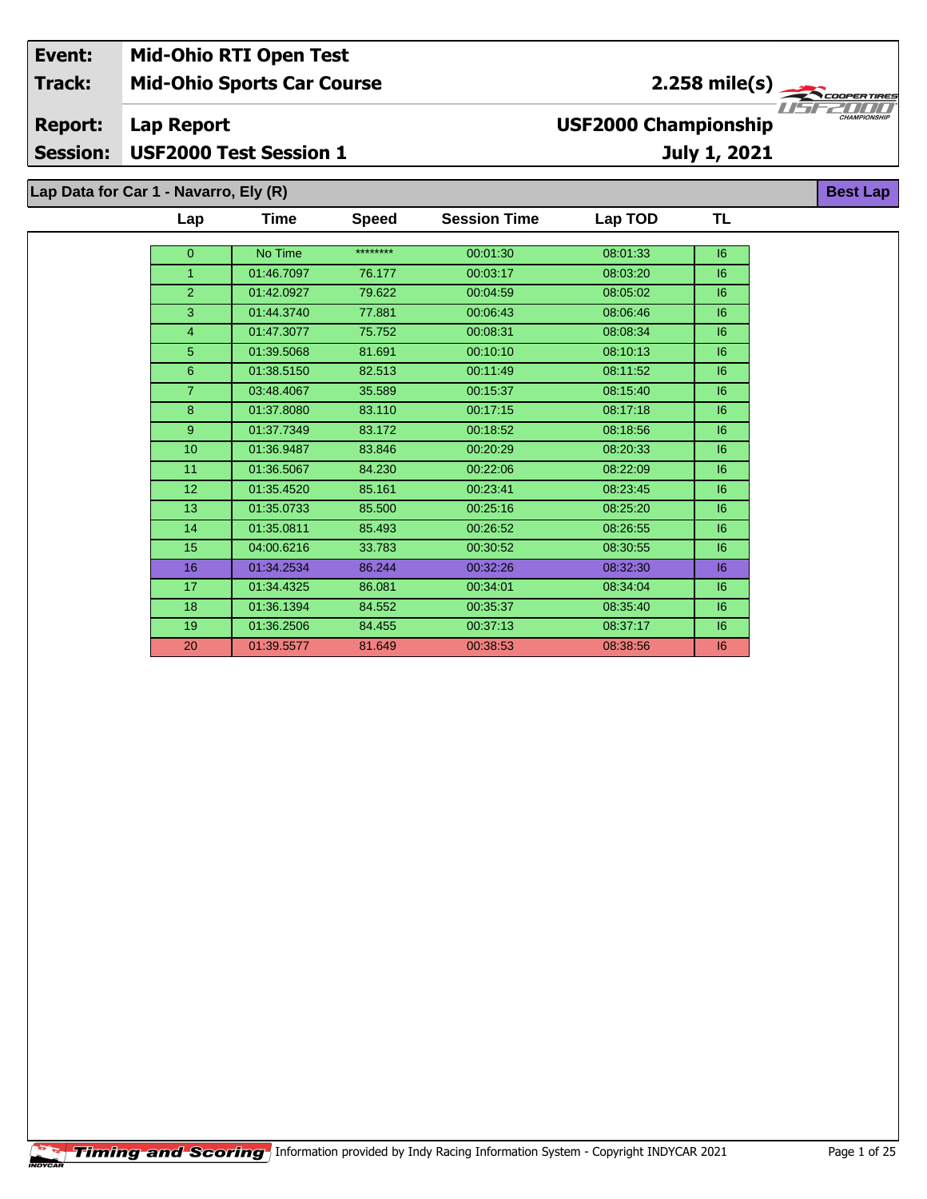## **Mid-Ohio Sports Car Course Lap Report July 1, 2021 Event: Mid-Ohio RTI Open Test Track: Report: Session: USF2000 Test Session 1 USF2000 Championship** 2.258 mile(s)

**TL**

| Lap Data for Car 1 - Navarro, Ely (R) |     |            |              |                     |          |    |  |  |  |  |
|---------------------------------------|-----|------------|--------------|---------------------|----------|----|--|--|--|--|
|                                       | Lap | Time       | <b>Speed</b> | <b>Session Time</b> | Lap TOD  | ΤL |  |  |  |  |
|                                       | 0   | No Time    | ********     | 00:01:30            | 08:01:33 | 6  |  |  |  |  |
|                                       |     | 01:46.7097 | 76.177       | 00:03:17            | 08:03:20 | 16 |  |  |  |  |
|                                       | 2   | 01:42.0927 | 79.622       | 00:04:59            | 08:05:02 | 16 |  |  |  |  |
|                                       | 3   | 01:44.3740 | 77.881       | 00:06:43            | 08:06:46 | 16 |  |  |  |  |
|                                       | 4   | 01:47.3077 | 75.752       | 00:08:31            | 08:08:34 | 16 |  |  |  |  |
|                                       | 5   | 01:39.5068 | 81.691       | 00:10:10            | 08:10:13 | 16 |  |  |  |  |

| $\overline{2}$  | 01:42.0927 | 79.622 | 00:04:59 | 08:05:02 | 16 |
|-----------------|------------|--------|----------|----------|----|
| 3               | 01:44.3740 | 77.881 | 00:06:43 | 08:06:46 | 16 |
| $\overline{4}$  | 01:47.3077 | 75.752 | 00:08:31 | 08:08:34 | 16 |
| 5               | 01:39.5068 | 81.691 | 00:10:10 | 08:10:13 | 16 |
| 6               | 01:38.5150 | 82.513 | 00:11:49 | 08:11:52 | 16 |
| $\overline{7}$  | 03:48.4067 | 35.589 | 00:15:37 | 08:15:40 | 16 |
| 8               | 01:37.8080 | 83.110 | 00:17:15 | 08:17:18 | 16 |
| 9               | 01:37.7349 | 83.172 | 00:18:52 | 08:18:56 | 16 |
| 10              | 01:36.9487 | 83.846 | 00:20:29 | 08:20:33 | 16 |
| 11              | 01:36.5067 | 84.230 | 00:22:06 | 08:22:09 | 16 |
| 12 <sub>2</sub> | 01:35.4520 | 85.161 | 00:23:41 | 08:23:45 | 16 |
| 13              | 01:35.0733 | 85.500 | 00:25:16 | 08:25:20 | 16 |
| 14              | 01:35.0811 | 85.493 | 00:26:52 | 08:26:55 | 16 |
| 15 <sub>2</sub> | 04:00.6216 | 33.783 | 00:30:52 | 08:30:55 | 16 |
| 16              | 01:34.2534 | 86.244 | 00:32:26 | 08:32:30 | 6  |
| 17              | 01:34.4325 | 86.081 | 00:34:01 | 08:34:04 | 6  |
| 18              | 01:36.1394 | 84.552 | 00:35:37 | 08:35:40 | 16 |
| 19              | 01:36.2506 | 84.455 | 00:37:13 | 08:37:17 | 16 |
| 20              | 01:39.5577 | 81.649 | 00:38:53 | 08:38:56 | 16 |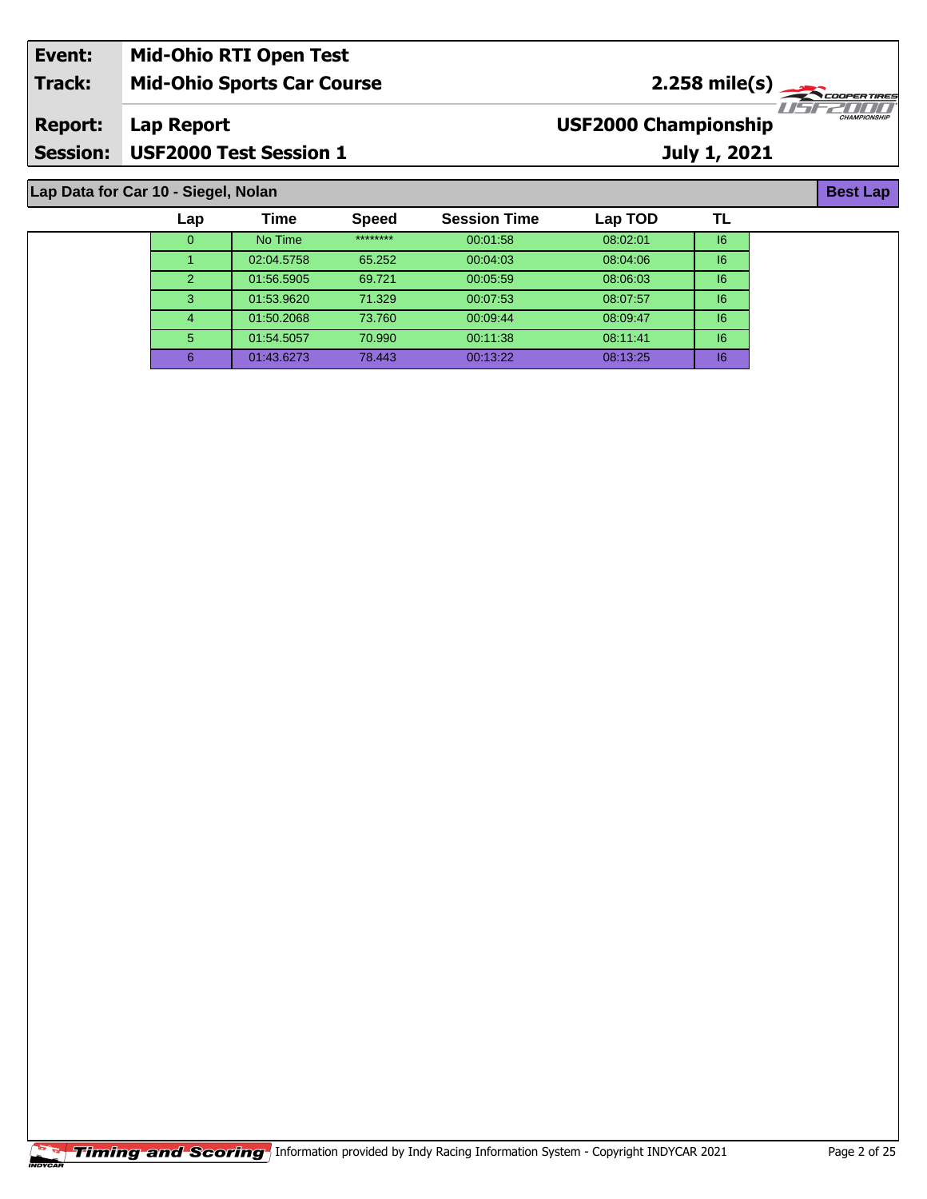| Event:          | <b>Mid-Ohio RTI Open Test</b>     |                                                                         |
|-----------------|-----------------------------------|-------------------------------------------------------------------------|
| <b>Track:</b>   | <b>Mid-Ohio Sports Car Course</b> | $2.258 \text{ mile(s)}$                                                 |
| <b>Report:</b>  | Lap Report                        | 1151 221 11 11 11<br><b>CHAMPIONSHIP</b><br><b>USF2000 Championship</b> |
| <b>Session:</b> | <b>USF2000 Test Session 1</b>     | July 1, 2021                                                            |

**Lap Data for Car 10 - Siegel, Nolan**

| Lap | <b>Time</b> | <b>Speed</b> | <b>Session Time</b> | Lap TOD  |    |
|-----|-------------|--------------|---------------------|----------|----|
| 0   | No Time     | ********     | 00:01:58            | 08:02:01 | 16 |
|     | 02:04.5758  | 65.252       | 00:04:03            | 08:04:06 | 16 |
| 2   | 01:56.5905  | 69.721       | 00:05:59            | 08:06:03 | 16 |
| 3   | 01:53.9620  | 71.329       | 00:07:53            | 08:07:57 | 6  |
| 4   | 01:50.2068  | 73.760       | 00:09:44            | 08:09:47 | 16 |
| 5   | 01:54.5057  | 70.990       | 00:11:38            | 08:11:41 | 6  |
| 6   | 01:43.6273  | 78.443       | 00:13:22            | 08:13:25 | 16 |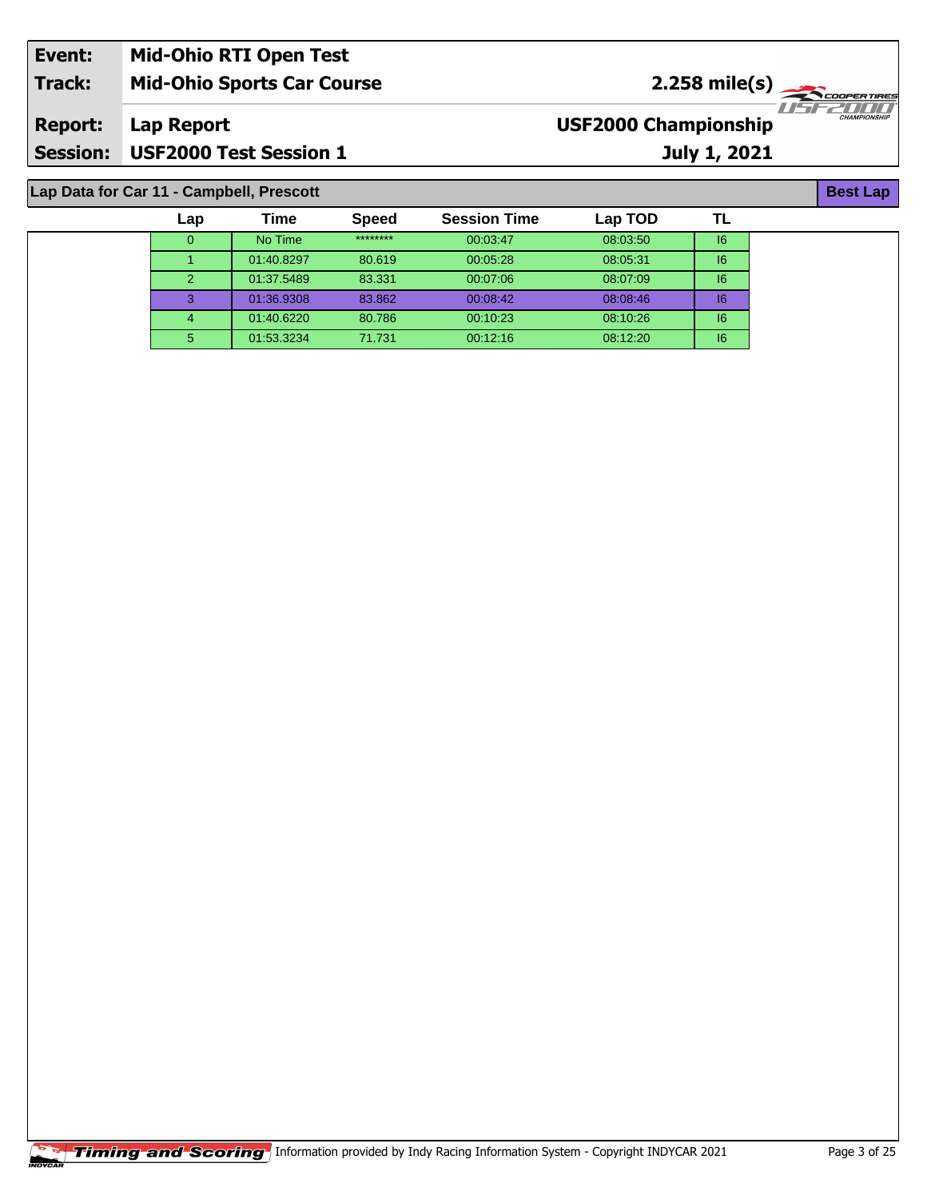| Event:          | <b>Mid-Ohio RTI Open Test</b>     |                                                    |
|-----------------|-----------------------------------|----------------------------------------------------|
| Track:          | <b>Mid-Ohio Sports Car Course</b> | $2.258 \text{ mile(s)}$                            |
| <b>Report:</b>  | <b>Lap Report</b>                 | <b>CHAMPIONSHIP</b><br><b>USF2000 Championship</b> |
| <b>Session:</b> | <b>USF2000 Test Session 1</b>     | July 1, 2021                                       |

## **Lap Data for Car 11 - Campbell, Prescott**

| Lap | Time       | <b>Speed</b> | <b>Session Time</b> | Lap TOD  |    |
|-----|------------|--------------|---------------------|----------|----|
| 0   | No Time    | ********     | 00:03:47            | 08:03:50 | 6  |
|     | 01:40.8297 | 80.619       | 00:05:28            | 08:05:31 | 6  |
| 2   | 01:37.5489 | 83.331       | 00:07:06            | 08:07:09 | 16 |
| 3   | 01:36.9308 | 83.862       | 00:08:42            | 08:08:46 | 16 |
|     | 01:40.6220 | 80.786       | 00:10:23            | 08:10:26 | 16 |
| 5   | 01:53.3234 | 71.731       | 00:12:16            | 08:12:20 | 16 |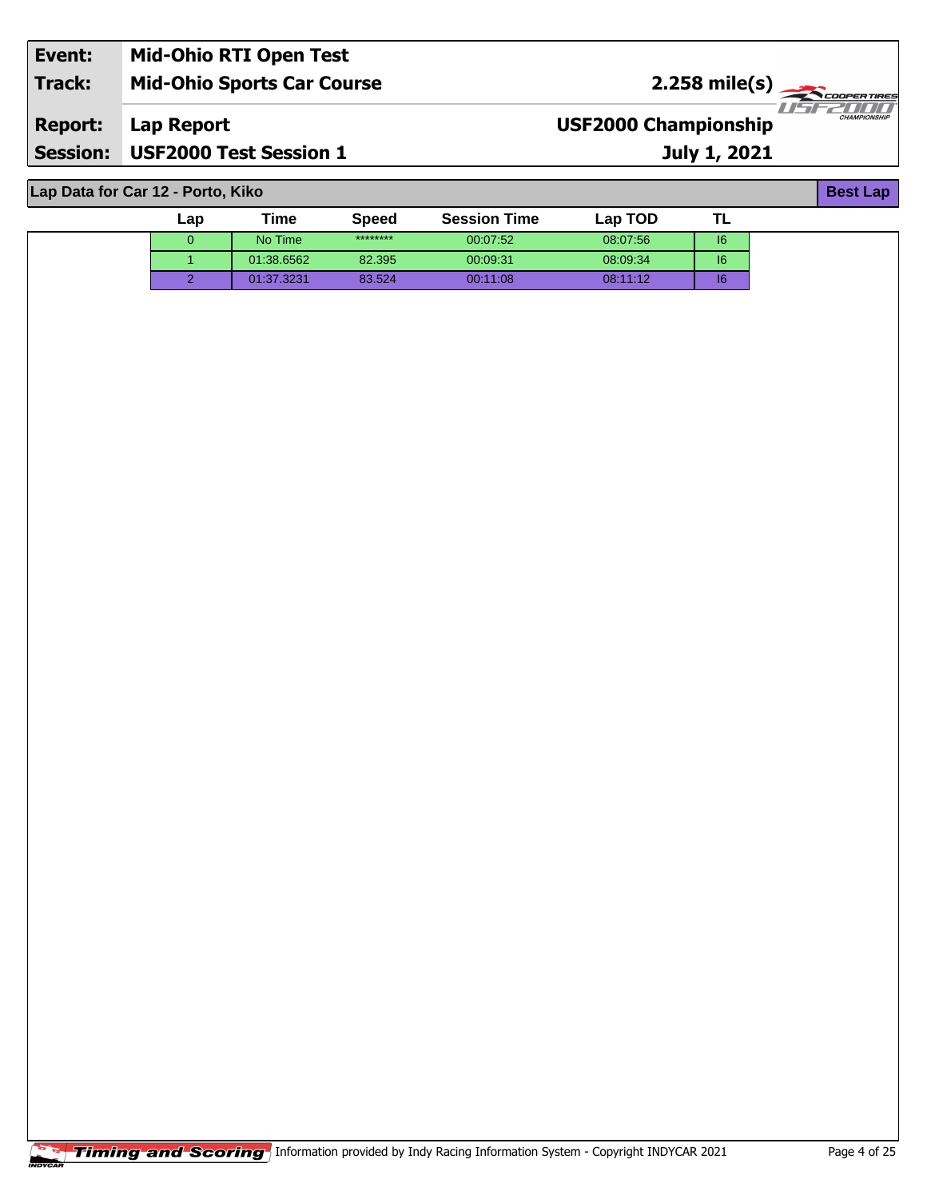| Event:          | <b>Mid-Ohio RTI Open Test</b>     |                                                                          |  |
|-----------------|-----------------------------------|--------------------------------------------------------------------------|--|
| Track:          | <b>Mid-Ohio Sports Car Course</b> | $2.258$ mile(s)                                                          |  |
| <b>Report:</b>  | Lap Report                        | 77 227 77 77 77 77<br><b>CHAMPIONSHIP</b><br><b>USF2000 Championship</b> |  |
| <b>Session:</b> | <b>USF2000 Test Session 1</b>     | <b>July 1, 2021</b>                                                      |  |

**Lap Data for Car 12 - Porto, Kiko**

| Lap | Time       | <b>Speed</b> | <b>Session Time</b> | Lap TOD  |    |
|-----|------------|--------------|---------------------|----------|----|
|     | No Time    | ********     | 00:07:52            | 08:07:56 | 6  |
|     | 01:38.6562 | 82.395       | 00:09:31            | 08:09:34 | 6  |
|     | 01:37.3231 | 83.524       | 00:11:08            | 08:11:12 | 16 |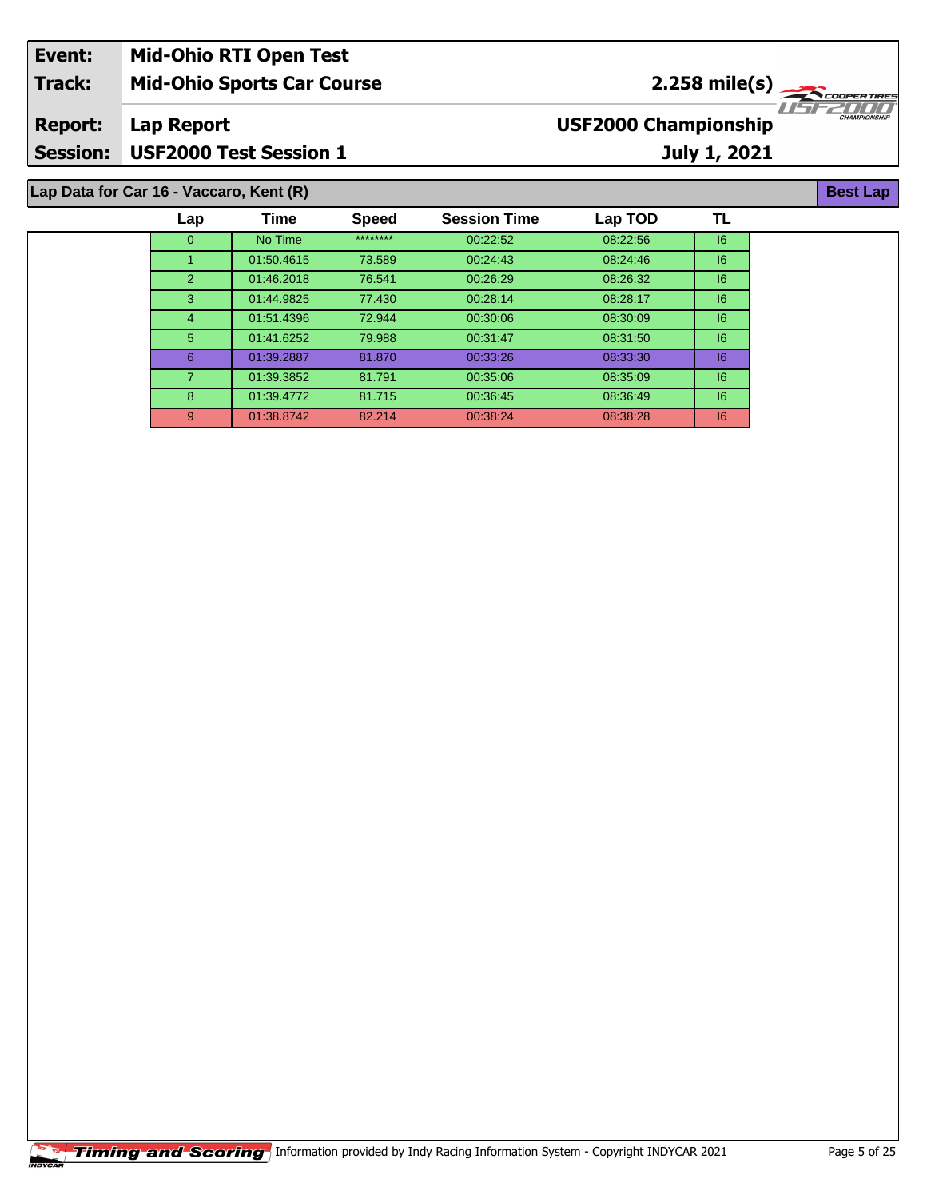| Event:         | <b>Mid-Ohio RTI Open Test</b>           |                             |                     |
|----------------|-----------------------------------------|-----------------------------|---------------------|
| <b>Track:</b>  | <b>Mid-Ohio Sports Car Course</b>       | $2.258$ mile(s)             |                     |
| <b>Report:</b> | Lap Report                              | <b>USF2000 Championship</b> | <b>CHAMPIONSHIP</b> |
|                | Session: USF2000 Test Session 1         | <b>July 1, 2021</b>         |                     |
|                | Lap Data for Car 16 - Vaccaro, Kent (R) |                             | <b>Best Lap</b>     |

| Time<br>TL<br><b>Speed</b><br><b>Session Time</b><br>Lap TOD<br>Lap<br>********<br>No Time<br>08:22:56<br> 6<br>00:22:52<br>$\overline{0}$<br> 6<br>01:50.4615<br>73.589<br>08:24:46<br>00:24:43<br>76.541<br>01:46.2018<br>08:26:32<br> 6<br>00:26:29<br>$\overline{2}$<br>3<br>77.430<br> 6<br>01:44.9825<br>00:28:14<br>08:28:17<br>72.944<br>08:30:09<br>01:51.4396<br>00:30:06<br>16<br>4<br>5<br> 6<br>79.988<br>01:41.6252<br>08:31:50<br>00.31.47<br>81.870<br>08:33:30<br>00:33:26<br> 6<br>6<br>01:39.2887<br> 6<br>01:39.3852<br>81.791<br>00:35:06<br>08:35:09<br>8<br>01:39.4772<br>81.715<br>08:36:49<br> 6<br>00:36:45<br>82.214<br> 6<br>9<br>01:38.8742<br>00:38:24<br>08:38:28 |  |  |  |  |
|--------------------------------------------------------------------------------------------------------------------------------------------------------------------------------------------------------------------------------------------------------------------------------------------------------------------------------------------------------------------------------------------------------------------------------------------------------------------------------------------------------------------------------------------------------------------------------------------------------------------------------------------------------------------------------------------------|--|--|--|--|
|                                                                                                                                                                                                                                                                                                                                                                                                                                                                                                                                                                                                                                                                                                  |  |  |  |  |
|                                                                                                                                                                                                                                                                                                                                                                                                                                                                                                                                                                                                                                                                                                  |  |  |  |  |
|                                                                                                                                                                                                                                                                                                                                                                                                                                                                                                                                                                                                                                                                                                  |  |  |  |  |
|                                                                                                                                                                                                                                                                                                                                                                                                                                                                                                                                                                                                                                                                                                  |  |  |  |  |
|                                                                                                                                                                                                                                                                                                                                                                                                                                                                                                                                                                                                                                                                                                  |  |  |  |  |
|                                                                                                                                                                                                                                                                                                                                                                                                                                                                                                                                                                                                                                                                                                  |  |  |  |  |
|                                                                                                                                                                                                                                                                                                                                                                                                                                                                                                                                                                                                                                                                                                  |  |  |  |  |
|                                                                                                                                                                                                                                                                                                                                                                                                                                                                                                                                                                                                                                                                                                  |  |  |  |  |
|                                                                                                                                                                                                                                                                                                                                                                                                                                                                                                                                                                                                                                                                                                  |  |  |  |  |
|                                                                                                                                                                                                                                                                                                                                                                                                                                                                                                                                                                                                                                                                                                  |  |  |  |  |
|                                                                                                                                                                                                                                                                                                                                                                                                                                                                                                                                                                                                                                                                                                  |  |  |  |  |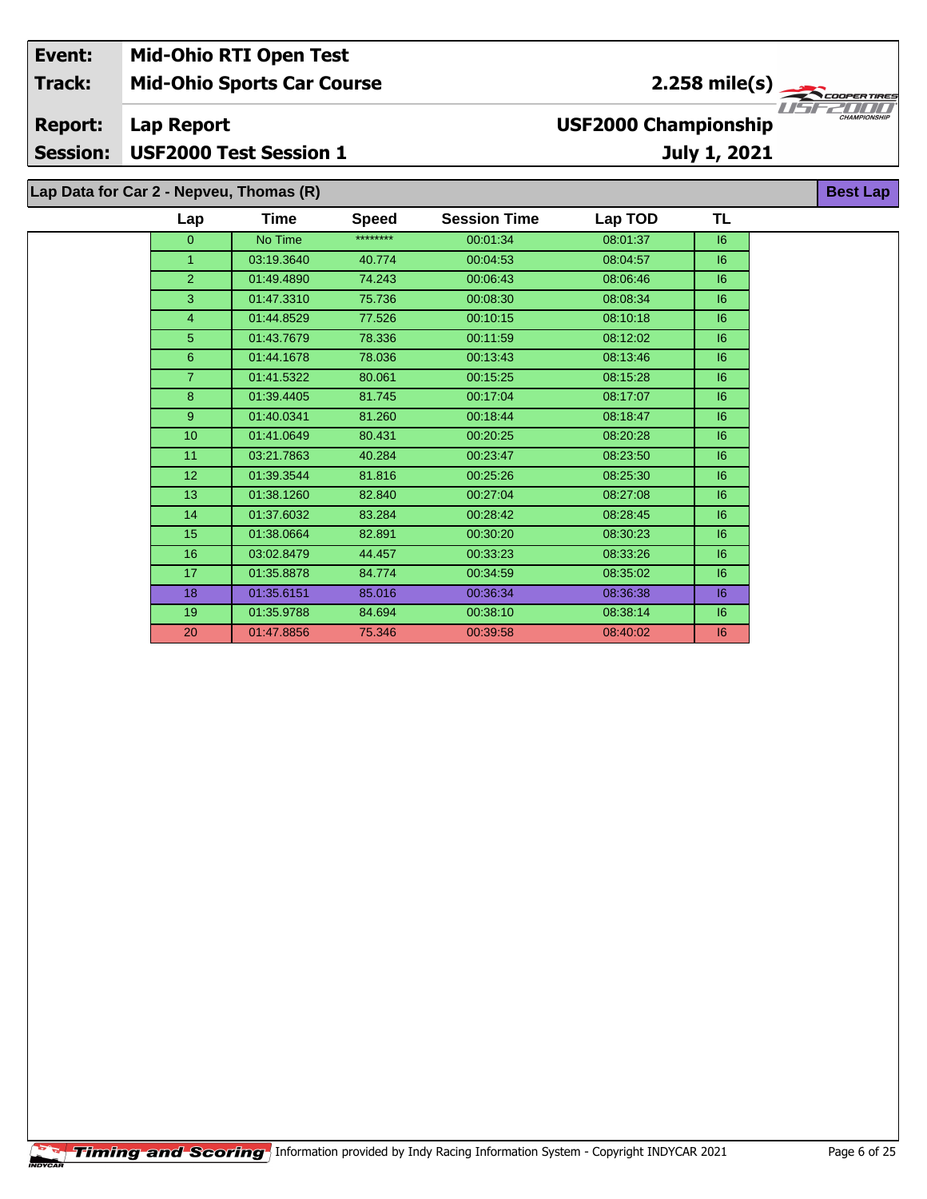| Event:<br><b>Track:</b>           |                                         | <b>Mid-Ohio RTI Open Test</b><br><b>Mid-Ohio Sports Car Course</b> |              |                     | 2.258 mile(s)<br>COOPER TIRES |              |                     |
|-----------------------------------|-----------------------------------------|--------------------------------------------------------------------|--------------|---------------------|-------------------------------|--------------|---------------------|
| <b>Report:</b><br><b>Session:</b> | Lap Report                              | <b>USF2000 Test Session 1</b>                                      |              |                     | <b>USF2000 Championship</b>   | July 1, 2021 | <b>CHAMPIONSHIP</b> |
|                                   | Lap Data for Car 2 - Nepveu, Thomas (R) |                                                                    |              |                     |                               |              | <b>Best Lap</b>     |
|                                   | Lap                                     | Time                                                               | <b>Speed</b> | <b>Session Time</b> | Lap TOD                       | TL           |                     |
|                                   | $\mathbf{0}$                            | No Time                                                            | ********     | 00:01:34            | 08:01:37                      | 6            |                     |
|                                   |                                         | 03:19.3640                                                         | 40.774       | 00:04:53            | 08:04:57                      | 6            |                     |
|                                   | 2                                       | 01:49.4890                                                         | 74.243       | 00:06:43            | 08:06:46                      | 16           |                     |
|                                   | 3                                       | 01:47.3310                                                         | 75.736       | 00:08:30            | 08:08:34                      | 16           |                     |
|                                   | 4                                       | 01:44.8529                                                         | 77.526       | 00:10:15            | 08:10:18                      | 6            |                     |
|                                   | 5                                       | 01:43.7679                                                         | 78.336       | 00:11:59            | 08:12:02                      | 6            |                     |
|                                   | 6                                       | 01:44.1678                                                         | 78.036       | 00:13:43            | 08:13:46                      | 6            |                     |
|                                   | 7                                       | 01:41.5322                                                         | 80.061       | 00:15:25            | 08:15:28                      | 6            |                     |

 01:39.4405 81.745 00:17:04 08:17:07 I6 01:40.0341 81.260 00:18:44 08:18:47 I6 01:41.0649 80.431 00:20:25 08:20:28 I6 11 03:21.7863 40.284 00:23:47 08:23:50 6 01:39.3544 81.816 00:25:26 08:25:30 I6 01:38.1260 82.840 00:27:04 08:27:08 I6 01:37.6032 83.284 00:28:42 08:28:45 I6 01:38.0664 82.891 00:30:20 08:30:23 I6 03:02.8479 44.457 00:33:23 08:33:26 I6 01:35.8878 84.774 00:34:59 08:35:02 I6 01:35.6151 85.016 00:36:34 08:36:38 I6 01:35.9788 84.694 00:38:10 08:38:14 I6 01:47.8856 75.346 00:39:58 08:40:02 I6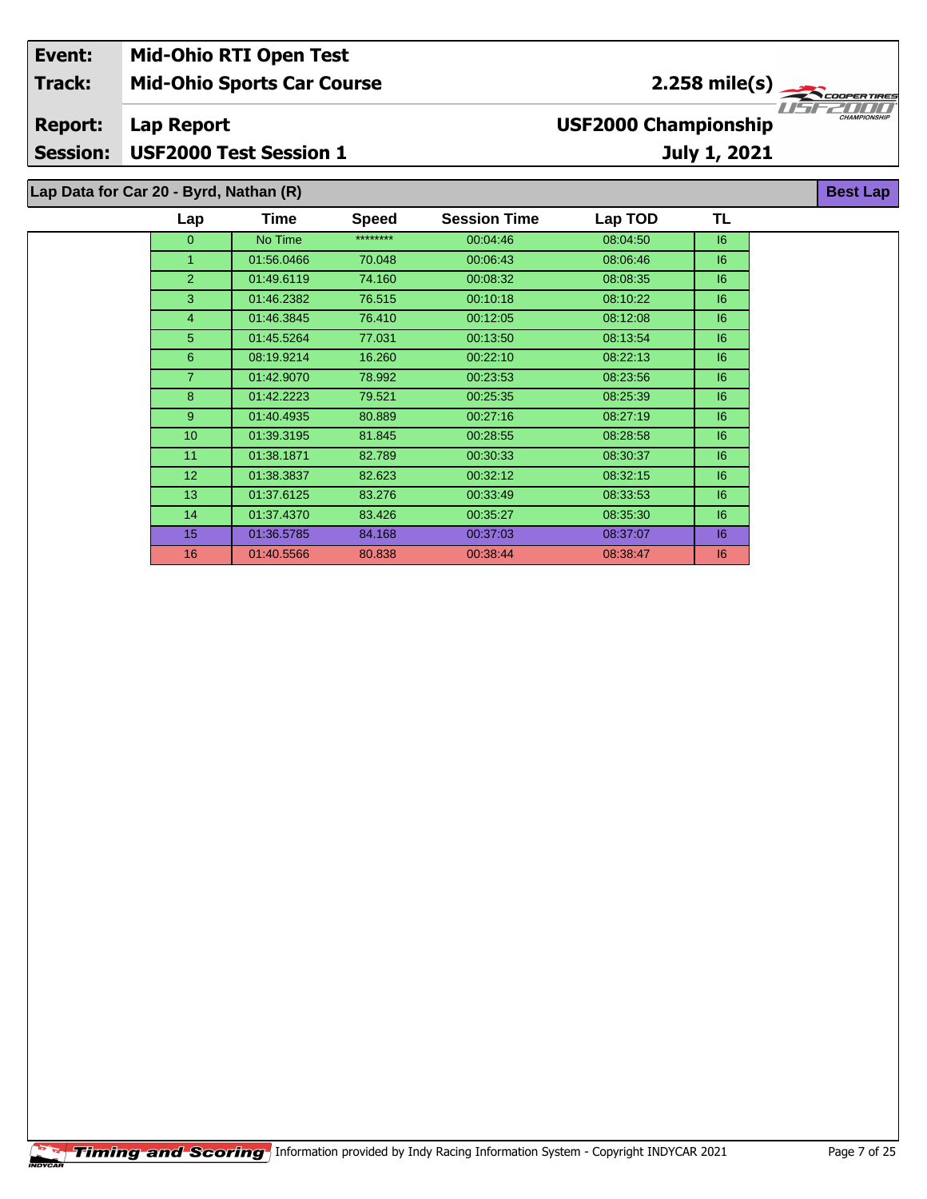| Event:                                 | <b>Mid-Ohio RTI Open Test</b>     |      |              |                     |                             |                                        |                     |
|----------------------------------------|-----------------------------------|------|--------------|---------------------|-----------------------------|----------------------------------------|---------------------|
| <b>Track:</b>                          | <b>Mid-Ohio Sports Car Course</b> |      |              |                     |                             | 2.258 mile(s) $\overline{\phantom{a}}$ | <b>COOPERTIRES</b>  |
| <b>Report:</b>                         | Lap Report                        |      |              |                     | <b>USF2000 Championship</b> |                                        | <b>CHAMPIONSHII</b> |
| <b>Session:</b>                        | <b>USF2000 Test Session 1</b>     |      |              |                     |                             | July 1, 2021                           |                     |
| Lap Data for Car 20 - Byrd, Nathan (R) |                                   |      |              |                     |                             |                                        | <b>Best Lap</b>     |
|                                        | Lap                               | Time | <b>Speed</b> | <b>Session Time</b> | Lap TOD                     | TL                                     |                     |

| $\overline{0}$  | No Time    | ******** | 00:04:46 | 08:04:50 | 6  |
|-----------------|------------|----------|----------|----------|----|
| 1.              | 01:56.0466 | 70.048   | 00:06:43 | 08:06:46 | 16 |
| $\overline{2}$  | 01:49.6119 | 74.160   | 00:08:32 | 08:08:35 | 6  |
| 3               | 01:46.2382 | 76.515   | 00:10:18 | 08:10:22 | 6  |
| 4               | 01:46.3845 | 76.410   | 00:12:05 | 08:12:08 | 16 |
| 5               | 01:45.5264 | 77.031   | 00:13:50 | 08:13:54 | 16 |
| 6               | 08:19.9214 | 16.260   | 00:22:10 | 08:22:13 | 6  |
| $\overline{7}$  | 01:42.9070 | 78.992   | 00:23:53 | 08:23:56 | 6  |
| 8               | 01:42.2223 | 79.521   | 00:25:35 | 08:25:39 | 16 |
| 9               | 01:40.4935 | 80.889   | 00:27:16 | 08:27:19 | 6  |
| 10 <sup>°</sup> | 01:39.3195 | 81.845   | 00:28:55 | 08:28:58 | 6  |
| 11              | 01:38.1871 | 82.789   | 00:30:33 | 08:30:37 | 16 |
| 12 <sup>2</sup> | 01:38.3837 | 82.623   | 00:32:12 | 08:32:15 | 16 |
| 13 <sup>°</sup> | 01:37.6125 | 83.276   | 00:33:49 | 08:33:53 | 6  |
| 14              | 01:37.4370 | 83.426   | 00:35:27 | 08:35:30 | 16 |
| 15              | 01:36.5785 | 84.168   | 00:37:03 | 08:37:07 | 16 |
| 16              | 01:40.5566 | 80.838   | 00:38:44 | 08:38:47 | 16 |
|                 |            |          |          |          |    |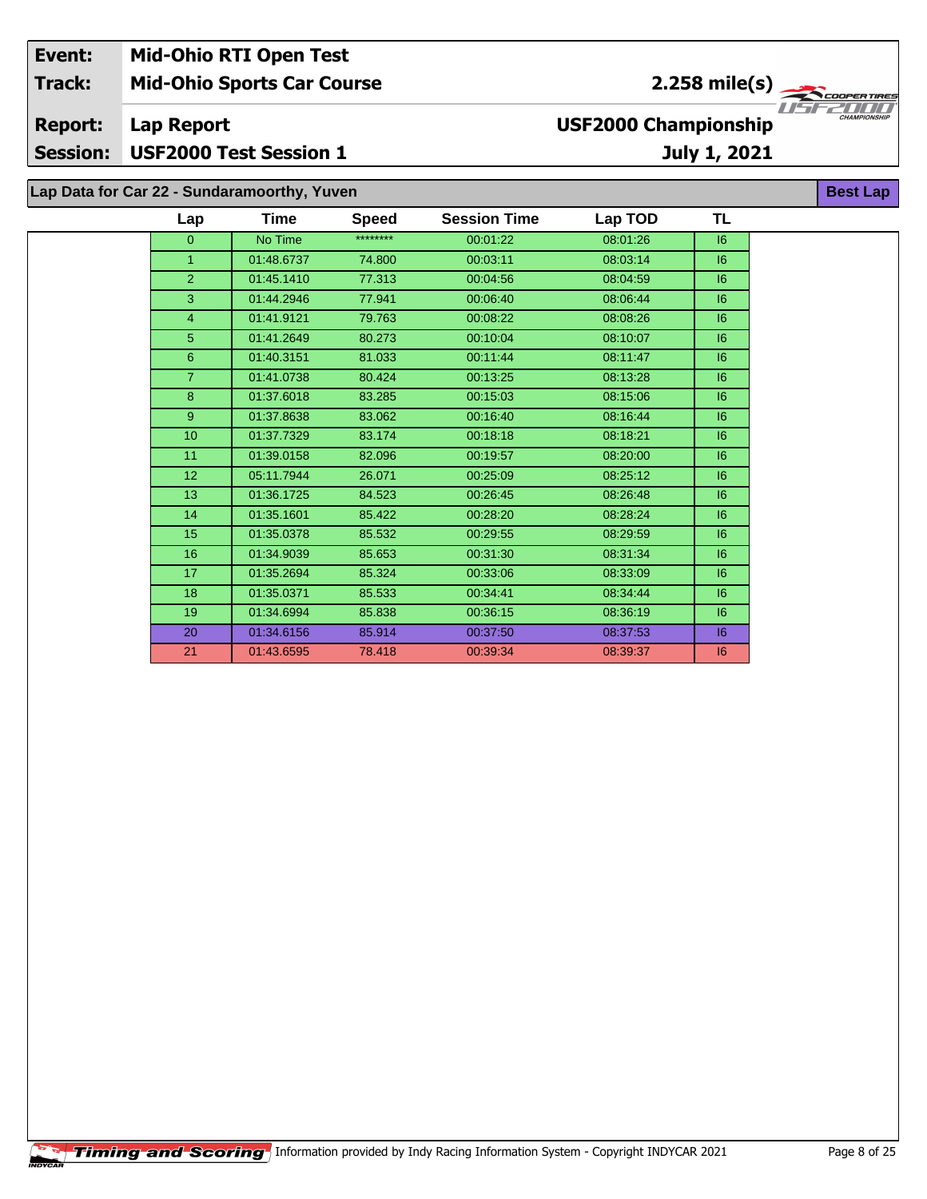| Event:<br><b>Track:</b>           |                                             | <b>Mid-Ohio RTI Open Test</b><br><b>Mid-Ohio Sports Car Course</b> |              |                     |                             | $2.258$ mile(s) | <b>COOPERTIRES</b>  |
|-----------------------------------|---------------------------------------------|--------------------------------------------------------------------|--------------|---------------------|-----------------------------|-----------------|---------------------|
| <b>Report:</b><br><b>Session:</b> | <b>Lap Report</b>                           | <b>USF2000 Test Session 1</b>                                      |              |                     | <b>USF2000 Championship</b> | July 1, 2021    | <b>CHAMPIONSHIP</b> |
|                                   | Lap Data for Car 22 - Sundaramoorthy, Yuven |                                                                    |              |                     |                             |                 | <b>Best Lap</b>     |
|                                   | Lap                                         | Time                                                               | <b>Speed</b> | <b>Session Time</b> | Lap TOD                     | TL              |                     |
|                                   | 0                                           | No Time                                                            | ********     | 00:01:22            | 08:01:26                    | 16              |                     |
|                                   |                                             | 01:48.6737                                                         | 74.800       | 00:03:11            | 08:03:14                    | 16              |                     |
|                                   | $\overline{2}$                              | 01:45.1410                                                         | 77.313       | 00:04:56            | 08:04:59                    | 6               |                     |
|                                   | 3                                           | 01:44.2946                                                         | 77.941       | 00:06:40            | 08:06:44                    | 6               |                     |
|                                   | 4                                           | 01:41.9121                                                         | 79.763       | 00:08:22            | 08:08:26                    | 6               |                     |
|                                   | 5.                                          | 01:41.2649                                                         | 80.273       | 00:10:04            | 08:10:07                    | 6               |                     |
|                                   | 6                                           | 01:40.3151                                                         | 81.033       | 00:11:44            | 08:11:47                    | 6               |                     |

 01:41.0738 80.424 00:13:25 08:13:28 I6 01:37.6018 83.285 00:15:03 08:15:06 I6 01:37.8638 83.062 00:16:40 08:16:44 I6 01:37.7329 83.174 00:18:18 08:18:21 I6 01:39.0158 82.096 00:19:57 08:20:00 I6 05:11.7944 26.071 00:25:09 08:25:12 I6 01:36.1725 84.523 00:26:45 08:26:48 I6 01:35.1601 85.422 00:28:20 08:28:24 I6 01:35.0378 85.532 00:29:55 08:29:59 I6 01:34.9039 85.653 00:31:30 08:31:34 I6 01:35.2694 85.324 00:33:06 08:33:09 I6 01:35.0371 85.533 00:34:41 08:34:44 I6 01:34.6994 85.838 00:36:15 08:36:19 I6 01:34.6156 85.914 00:37:50 08:37:53 I6 01:43.6595 78.418 00:39:34 08:39:37 I6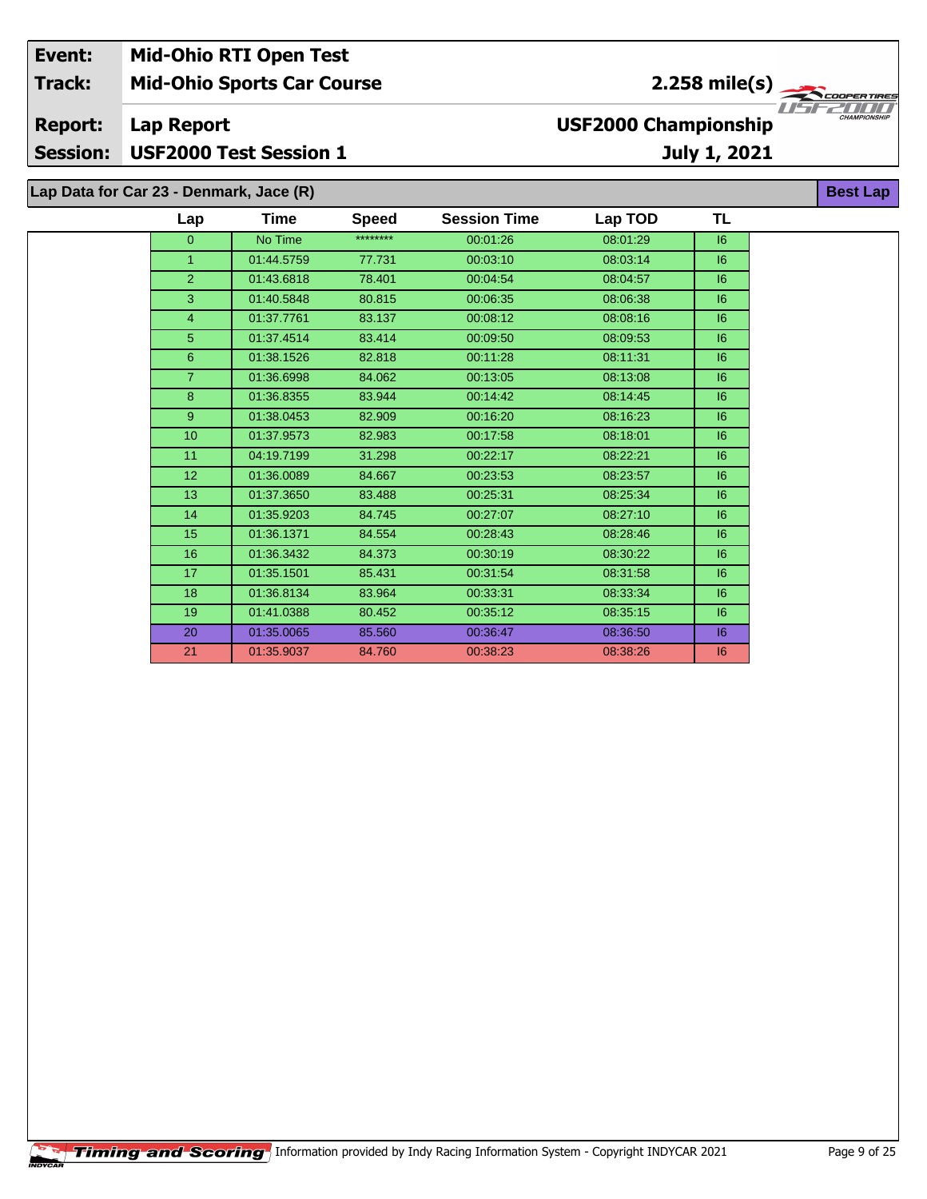| Event:                            |                                         | <b>Mid-Ohio RTI Open Test</b>     |              |                     |                             |                 |                     |
|-----------------------------------|-----------------------------------------|-----------------------------------|--------------|---------------------|-----------------------------|-----------------|---------------------|
| <b>Track:</b>                     |                                         | <b>Mid-Ohio Sports Car Course</b> |              |                     |                             | $2.258$ mile(s) | <b>COOPERTIRES</b>  |
| <b>Report:</b><br><b>Session:</b> | Lap Report                              | <b>USF2000 Test Session 1</b>     |              |                     | <b>USF2000 Championship</b> | July 1, 2021    | <b>CHAMPIONSHIP</b> |
|                                   | Lap Data for Car 23 - Denmark, Jace (R) |                                   |              |                     |                             |                 | <b>Best Lap</b>     |
|                                   | Lap                                     | <b>Time</b>                       | <b>Speed</b> | <b>Session Time</b> | Lap TOD                     | <b>TL</b>       |                     |
|                                   | 0                                       | No Time                           | ********     | 00:01:26            | 08:01:29                    | 6               |                     |
|                                   |                                         | 01:44.5759                        | 77.731       | 00:03:10            | 08:03:14                    | 6               |                     |
|                                   | 2.                                      | 01:43.6818                        | 78.401       | 00:04:54            | 08:04:57                    | 6               |                     |
|                                   |                                         |                                   |              |                     |                             |                 |                     |

 01:37.7761 83.137 00:08:12 08:08:16 I6 01:37.4514 83.414 00:09:50 08:09:53 I6 01:38.1526 82.818 00:11:28 08:11:31 I6 01:36.6998 84.062 00:13:05 08:13:08 I6 01:36.8355 83.944 00:14:42 08:14:45 I6 01:38.0453 82.909 00:16:20 08:16:23 I6 01:37.9573 82.983 00:17:58 08:18:01 I6 04:19.7199 31.298 00:22:17 08:22:21 I6 01:36.0089 84.667 00:23:53 08:23:57 I6 01:37.3650 83.488 00:25:31 08:25:34 I6 01:35.9203 84.745 00:27:07 08:27:10 I6 01:36.1371 84.554 00:28:43 08:28:46 I6 01:36.3432 84.373 00:30:19 08:30:22 I6 01:35.1501 85.431 00:31:54 08:31:58 I6 01:36.8134 83.964 00:33:31 08:33:34 I6 01:41.0388 80.452 00:35:12 08:35:15 I6 01:35.0065 85.560 00:36:47 08:36:50 I6 01:35.9037 84.760 00:38:23 08:38:26 I6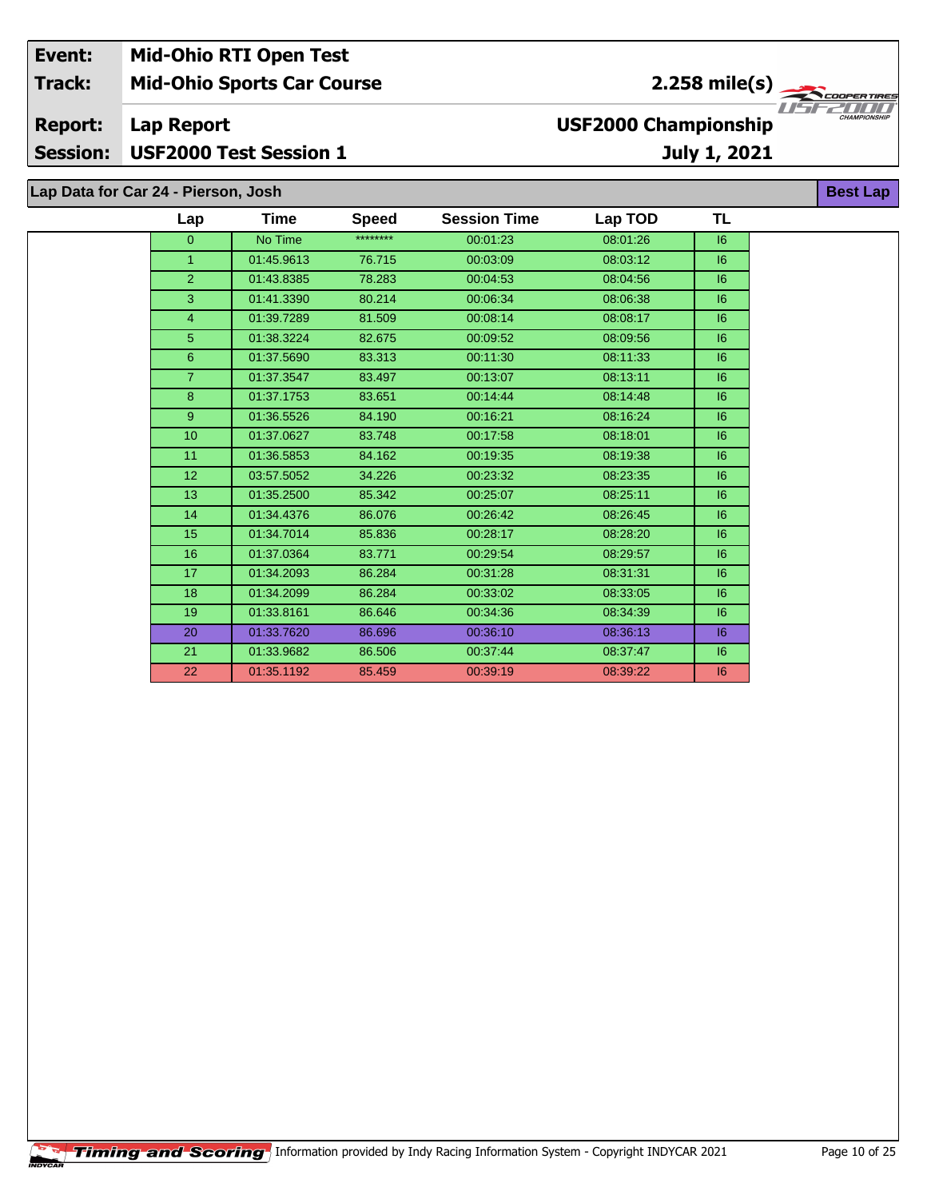| Event:          | <b>Mid-Ohio RTI Open Test</b>       |                                         |                     |
|-----------------|-------------------------------------|-----------------------------------------|---------------------|
| <b>Track:</b>   | <b>Mid-Ohio Sports Car Course</b>   | $2.258 \text{ mile(s)}$                 |                     |
| <b>Report:</b>  | Lap Report                          | 77521777<br><b>USF2000 Championship</b> | <b>CHAMPIONSHIP</b> |
| <b>Session:</b> | <b>USF2000 Test Session 1</b>       | <b>July 1, 2021</b>                     |                     |
|                 |                                     |                                         |                     |
|                 | Lap Data for Car 24 - Pierson, Josh | <b>Best Lap</b>                         |                     |

| Lap             | Time       | <b>Speed</b> | <b>Session Time</b> | Lap TOD  | TL |
|-----------------|------------|--------------|---------------------|----------|----|
| $\overline{0}$  | No Time    | ********     | 00:01:23            | 08:01:26 | 16 |
| $\mathbf{1}$    | 01:45.9613 | 76.715       | 00:03:09            | 08:03:12 | 6  |
| $\overline{2}$  | 01:43.8385 | 78.283       | 00:04:53            | 08:04:56 | 6  |
| 3               | 01:41.3390 | 80.214       | 00:06:34            | 08:06:38 | 6  |
| 4               | 01:39.7289 | 81.509       | 00:08:14            | 08:08:17 | 6  |
| 5               | 01:38.3224 | 82.675       | 00:09:52            | 08:09:56 | 6  |
| $6\phantom{.}$  | 01:37.5690 | 83.313       | 00:11:30            | 08:11:33 | 6  |
| $\overline{7}$  | 01:37.3547 | 83.497       | 00:13:07            | 08:13:11 | 6  |
| 8               | 01:37.1753 | 83.651       | 00:14:44            | 08:14:48 | 6  |
| 9 <sup>°</sup>  | 01:36.5526 | 84.190       | 00:16:21            | 08:16:24 | 6  |
| 10 <sup>1</sup> | 01:37.0627 | 83.748       | 00:17:58            | 08:18:01 | 6  |
| 11              | 01:36.5853 | 84.162       | 00:19:35            | 08:19:38 | 6  |
| 12              | 03:57.5052 | 34.226       | 00:23:32            | 08:23:35 | 6  |
| 13              | 01:35.2500 | 85.342       | 00:25:07            | 08:25:11 | 6  |
| 14              | 01:34.4376 | 86.076       | 00:26:42            | 08:26:45 | 6  |
| 15              | 01:34.7014 | 85.836       | 00:28:17            | 08:28:20 | 6  |
| 16              | 01:37.0364 | 83.771       | 00:29:54            | 08:29:57 | 6  |
| 17              | 01:34.2093 | 86.284       | 00:31:28            | 08:31:31 | 6  |
| 18              | 01:34.2099 | 86.284       | 00:33:02            | 08:33:05 | 6  |
| 19              | 01:33.8161 | 86.646       | 00:34:36            | 08:34:39 | 6  |
| 20              | 01:33.7620 | 86.696       | 00:36:10            | 08:36:13 | 6  |
| 21              | 01:33.9682 | 86.506       | 00:37:44            | 08:37:47 | 6  |
| 22              | 01:35.1192 | 85.459       | 00:39:19            | 08:39:22 | 16 |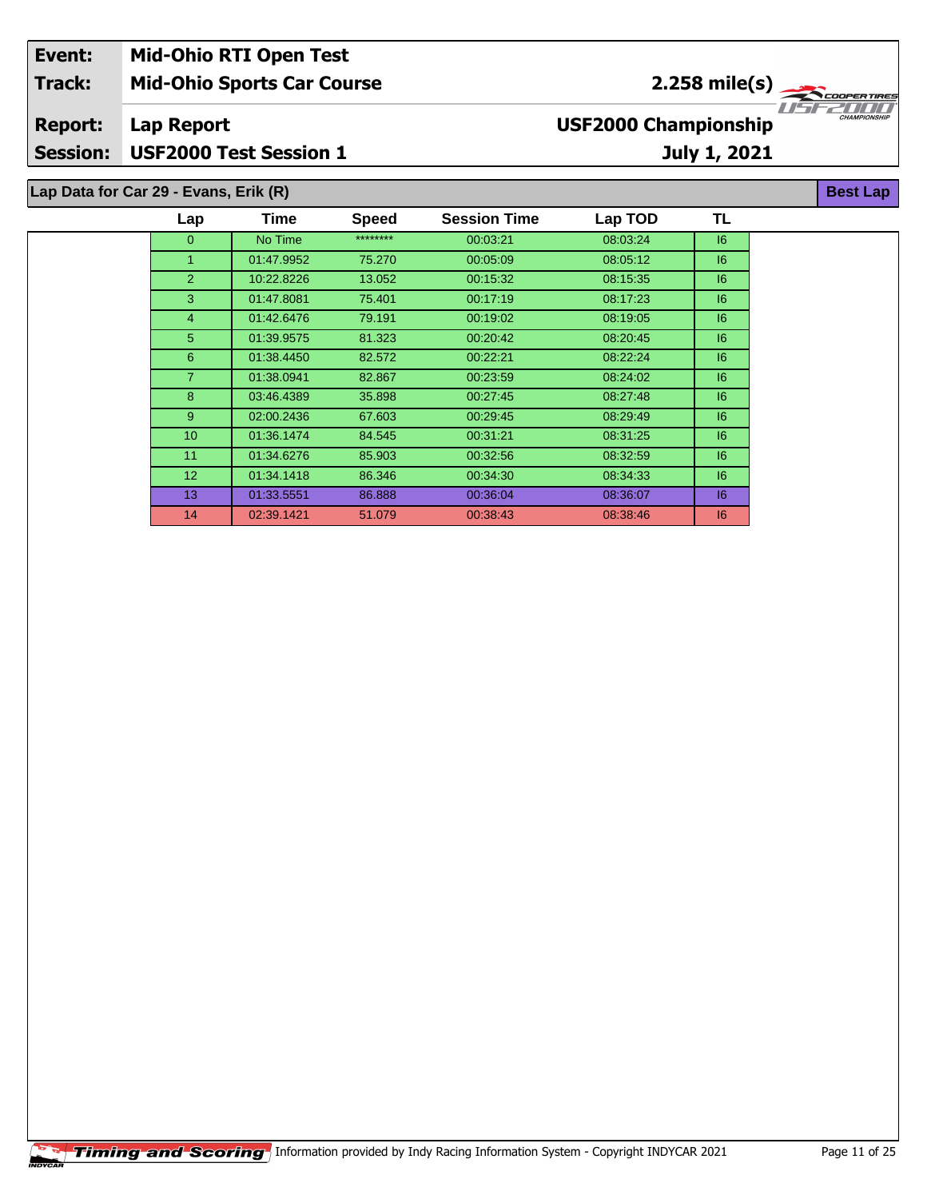| Event:          | <b>Mid-Ohio RTI Open Test</b>         |                             |                                 |
|-----------------|---------------------------------------|-----------------------------|---------------------------------|
| <b>Track:</b>   | <b>Mid-Ohio Sports Car Course</b>     | $2.258 \text{ mile(s)}$     |                                 |
| <b>Report:</b>  | Lap Report                            | <b>USF2000 Championship</b> | TEZTITI)<br><b>CHAMPIONSHIP</b> |
| <b>Session:</b> | <b>USF2000 Test Session 1</b>         | July 1, 2021                |                                 |
|                 | Lap Data for Car 29 - Evans, Erik (R) |                             | <b>Best Lap</b>                 |

| Lap             | Time       | <b>Speed</b> | <b>Session Time</b> | Lap TOD  | TL |
|-----------------|------------|--------------|---------------------|----------|----|
| $\mathbf{0}$    | No Time    | ********     | 00:03:21            | 08:03:24 | 6  |
| 1               | 01:47.9952 | 75.270       | 00:05:09            | 08:05:12 | 6  |
| $\overline{2}$  | 10:22.8226 | 13.052       | 00:15:32            | 08:15:35 | 16 |
| 3               | 01:47.8081 | 75.401       | 00:17:19            | 08:17:23 | 16 |
| $\overline{4}$  | 01:42.6476 | 79.191       | 00:19:02            | 08:19:05 | 6  |
| 5               | 01:39.9575 | 81.323       | 00:20:42            | 08:20:45 | 16 |
| 6               | 01:38.4450 | 82.572       | 00:22:21            | 08:22:24 | 16 |
| $\overline{7}$  | 01:38.0941 | 82.867       | 00:23:59            | 08:24:02 | 6  |
| 8               | 03:46.4389 | 35.898       | 00:27:45            | 08:27:48 | 16 |
| 9               | 02:00.2436 | 67.603       | 00:29:45            | 08:29:49 | 16 |
| 10 <sup>°</sup> | 01:36.1474 | 84.545       | 00:31:21            | 08:31:25 | 6  |
| 11              | 01:34.6276 | 85.903       | 00:32:56            | 08:32:59 | 6  |
| 12 <sup>2</sup> | 01:34.1418 | 86.346       | 00:34:30            | 08:34:33 | 16 |
| 13 <sup>°</sup> | 01:33.5551 | 86.888       | 00:36:04            | 08:36:07 | 6  |
| 14              | 02:39.1421 | 51.079       | 00:38:43            | 08:38:46 | 6  |
|                 |            |              |                     |          |    |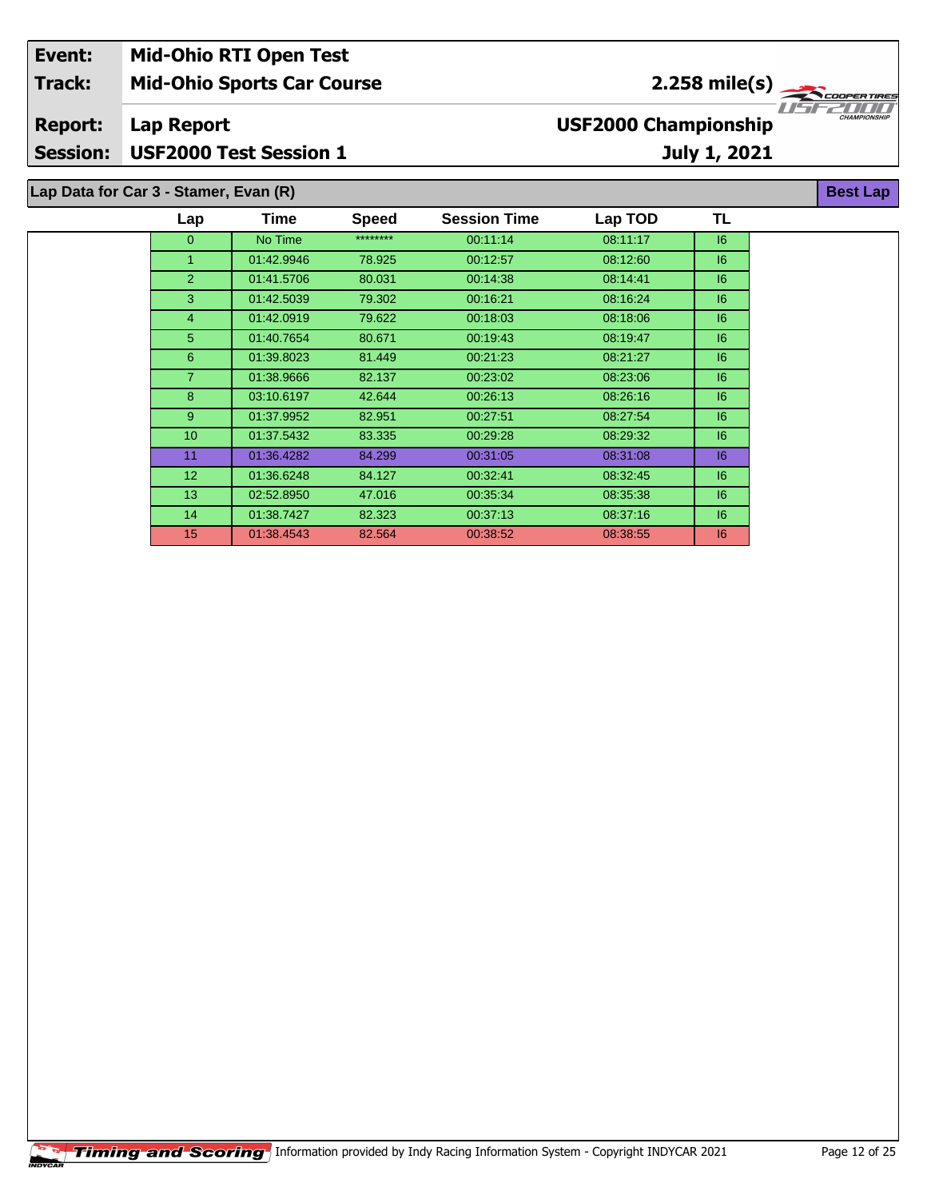| Event:          | <b>Mid-Ohio RTI Open Test</b>         |      |              |                     |                             |                             |                     |
|-----------------|---------------------------------------|------|--------------|---------------------|-----------------------------|-----------------------------|---------------------|
| <b>Track:</b>   | <b>Mid-Ohio Sports Car Course</b>     |      |              |                     |                             | 2.258 mile(s) $\rightarrow$ | <b>COOPERTIRES</b>  |
| <b>Report:</b>  | Lap Report                            |      |              |                     | <b>USF2000 Championship</b> |                             | <b>CHAMPIONSHIP</b> |
| <b>Session:</b> | <b>USF2000 Test Session 1</b>         |      |              |                     |                             | July 1, 2021                |                     |
|                 | Lap Data for Car 3 - Stamer, Evan (R) |      |              |                     |                             |                             | <b>Best Lap</b>     |
|                 | Lap                                   | Time | <b>Speed</b> | <b>Session Time</b> | Lap TOD                     |                             |                     |

| $\Omega$        | No Time    | ******** | 00.11.14 | 08:11:17 | 6  |
|-----------------|------------|----------|----------|----------|----|
| $\mathbf{1}$    | 01:42.9946 | 78.925   | 00:12:57 | 08:12:60 | 6  |
| 2               | 01:41.5706 | 80.031   | 00:14:38 | 08:14:41 | 16 |
| 3               | 01:42.5039 | 79.302   | 00:16:21 | 08:16:24 | 6  |
| $\overline{4}$  | 01:42.0919 | 79.622   | 00:18:03 | 08:18:06 | 6  |
| 5               | 01:40.7654 | 80.671   | 00:19:43 | 08:19:47 | 6  |
| 6               | 01:39.8023 | 81.449   | 00:21:23 | 08:21:27 | 6  |
| 7               | 01:38.9666 | 82.137   | 00:23:02 | 08:23:06 | 16 |
| 8               | 03:10.6197 | 42.644   | 00:26:13 | 08:26:16 | 6  |
| 9               | 01:37.9952 | 82.951   | 00:27:51 | 08:27:54 | 6  |
| 10 <sup>°</sup> | 01:37.5432 | 83.335   | 00:29:28 | 08:29:32 | 6  |
| 11              | 01:36.4282 | 84.299   | 00:31:05 | 08:31:08 | 16 |
| 12 <sup>2</sup> | 01:36.6248 | 84.127   | 00:32:41 | 08:32:45 | 6  |
| 13 <sup>°</sup> | 02:52.8950 | 47.016   | 00:35:34 | 08:35:38 | 16 |
| 14              | 01:38.7427 | 82.323   | 00:37:13 | 08:37:16 | 16 |
| 15              | 01:38.4543 | 82.564   | 00:38:52 | 08:38:55 | 16 |
|                 |            |          |          |          |    |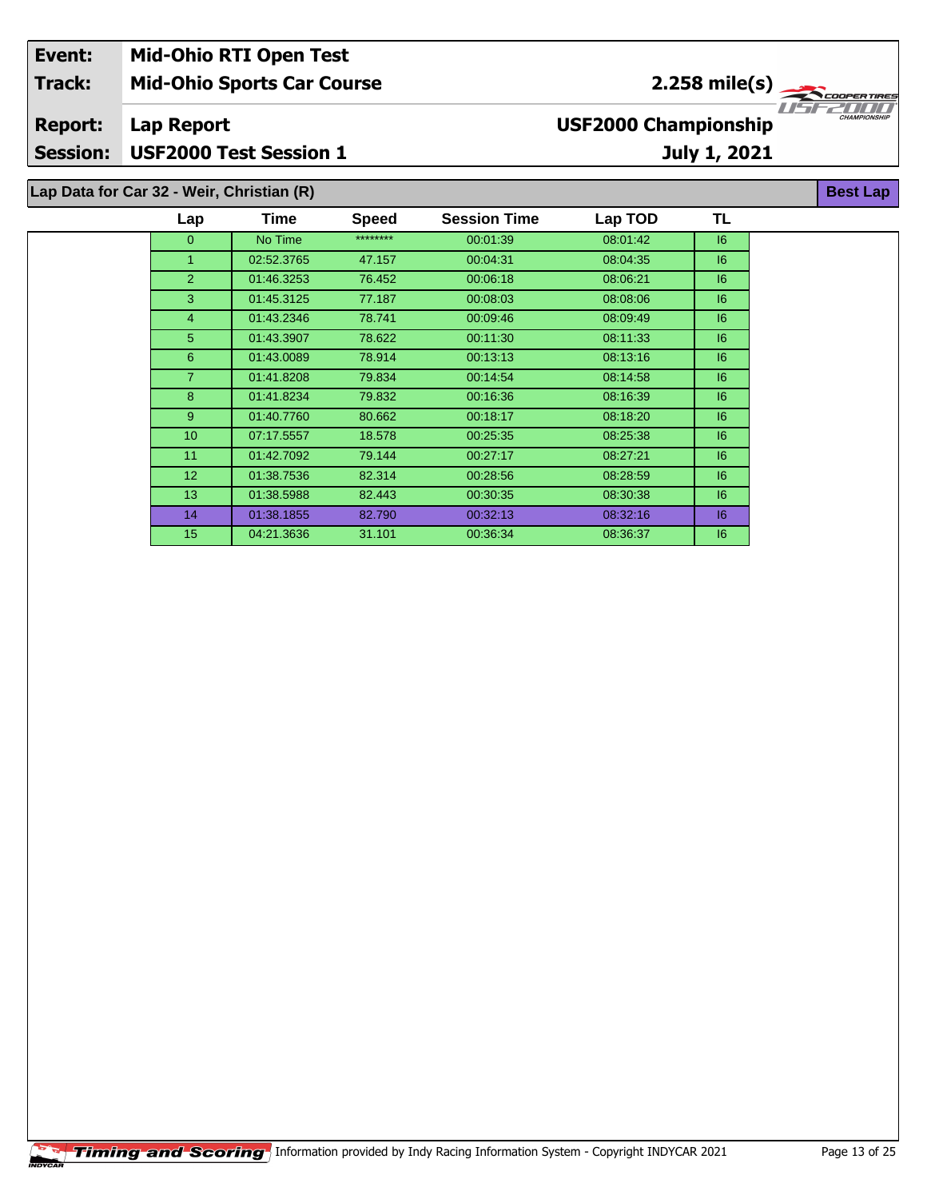| Event:          |                                           | <b>Mid-Ohio RTI Open Test</b>     |              |                     |                             |                 |                     |
|-----------------|-------------------------------------------|-----------------------------------|--------------|---------------------|-----------------------------|-----------------|---------------------|
| <b>Track:</b>   |                                           | <b>Mid-Ohio Sports Car Course</b> |              |                     |                             | $2.258$ mile(s) | <b>COOPERTIRES</b>  |
| <b>Report:</b>  | Lap Report                                |                                   |              |                     | <b>USF2000 Championship</b> |                 | <b>CHAMPIONSHIP</b> |
| <b>Session:</b> |                                           | <b>USF2000 Test Session 1</b>     |              |                     |                             | July 1, 2021    |                     |
|                 | Lap Data for Car 32 - Weir, Christian (R) |                                   |              |                     |                             |                 | <b>Best Lap</b>     |
|                 | Lap                                       | Time                              | <b>Speed</b> | <b>Session Time</b> | Lap TOD                     | <b>TL</b>       |                     |
|                 | $\Omega$                                  | No Time                           | ********     | 00:01:39            | 08:01:42                    | 16              |                     |
|                 |                                           | 02:52.3765                        | 47.157       | 00:04:31            | 08:04:35                    | 16              |                     |
|                 |                                           | 01:46.3253                        | 76.452       | 00:06:18            | 08:06:21                    | 6               |                     |

 01:45.3125 77.187 00:08:03 08:08:06 I6 01:43.2346 78.741 00:09:46 08:09:49 I6 01:43.3907 78.622 00:11:30 08:11:33 I6 01:43.0089 78.914 00:13:13 08:13:16 I6 01:41.8208 79.834 00:14:54 08:14:58 I6 01:41.8234 79.832 00:16:36 08:16:39 I6 01:40.7760 80.662 00:18:17 08:18:20 I6 07:17.5557 18.578 00:25:35 08:25:38 I6 01:42.7092 79.144 00:27:17 08:27:21 I6 01:38.7536 82.314 00:28:56 08:28:59 I6 01:38.5988 82.443 00:30:35 08:30:38 I6 01:38.1855 82.790 00:32:13 08:32:16 I6 04:21.3636 31.101 00:36:34 08:36:37 I6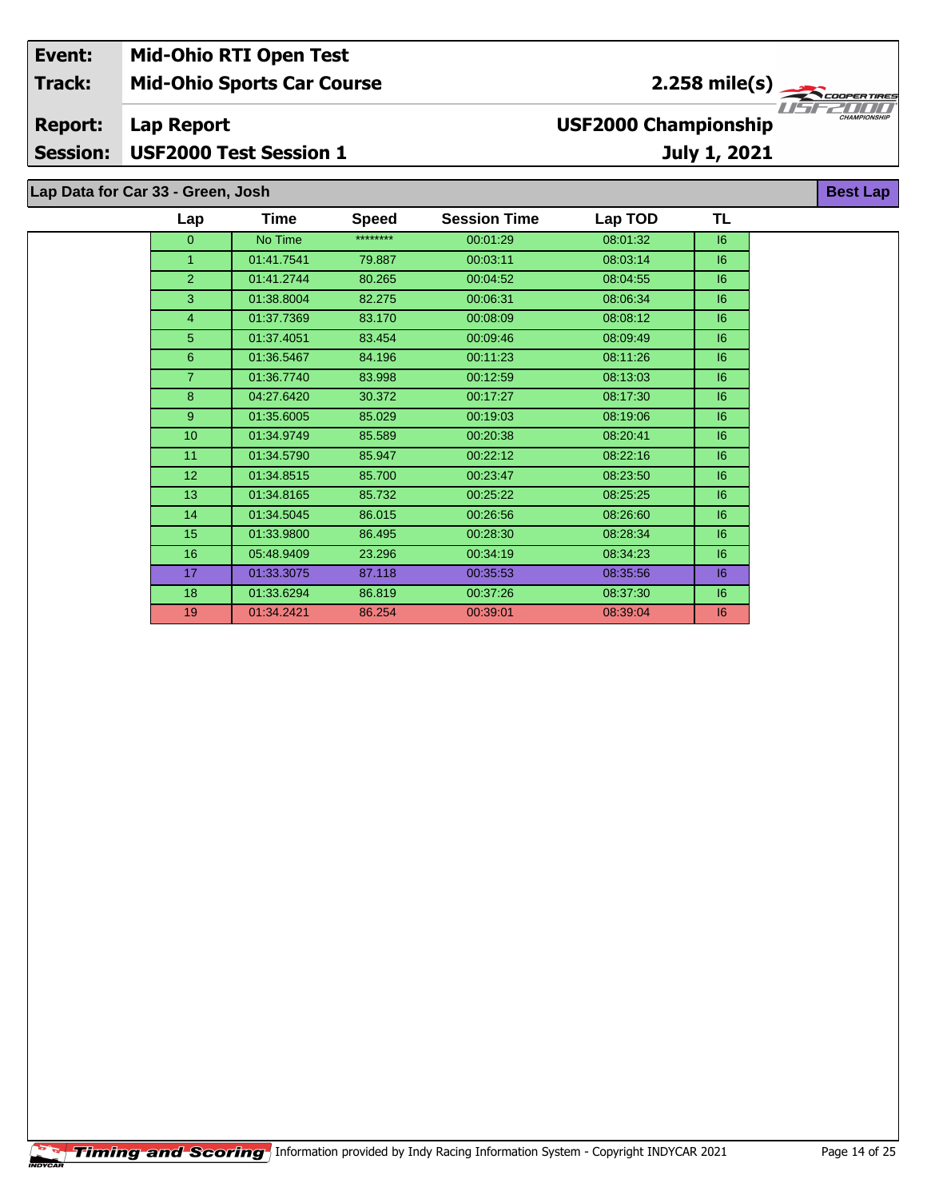| Event:         | <b>Mid-Ohio RTI Open Test</b>     |                             |                     |
|----------------|-----------------------------------|-----------------------------|---------------------|
| <b>Track:</b>  | <b>Mid-Ohio Sports Car Course</b> | $2.258 \text{ mile(s)}$     |                     |
| <b>Report:</b> | Lap Report                        | <b>USF2000 Championship</b> | <b>CHAMPIONSHIP</b> |
|                | Session: USF2000 Test Session 1   | July 1, 2021                |                     |
|                |                                   |                             |                     |
|                | Lap Data for Car 33 - Green, Josh |                             | <b>Best Lap</b>     |

| Lap             | Time       | <b>Speed</b> | <b>Session Time</b> | Lap TOD  | <b>TL</b> |
|-----------------|------------|--------------|---------------------|----------|-----------|
| $\overline{0}$  | No Time    | ********     | 00:01:29            | 08:01:32 | 16        |
| 1               | 01:41.7541 | 79.887       | 00:03:11            | 08:03:14 | 6         |
| $\overline{2}$  | 01:41.2744 | 80.265       | 00:04:52            | 08:04:55 | 6         |
| 3               | 01:38.8004 | 82.275       | 00:06:31            | 08:06:34 | 6         |
| $\overline{4}$  | 01:37.7369 | 83.170       | 00:08:09            | 08:08:12 | 6         |
| 5               | 01:37.4051 | 83.454       | 00:09:46            | 08:09:49 | 6         |
| 6               | 01:36.5467 | 84.196       | 00:11:23            | 08:11:26 | 6         |
| $\overline{7}$  | 01:36.7740 | 83.998       | 00:12:59            | 08:13:03 | 6         |
| 8               | 04:27.6420 | 30.372       | 00:17:27            | 08:17:30 | 6         |
| 9               | 01:35.6005 | 85.029       | 00:19:03            | 08:19:06 | 6         |
| 10              | 01:34.9749 | 85.589       | 00:20:38            | 08:20:41 | 6         |
| 11              | 01:34.5790 | 85.947       | 00:22:12            | 08:22:16 | 6         |
| 12 <sup>2</sup> | 01:34.8515 | 85.700       | 00:23:47            | 08:23:50 | 6         |
| 13              | 01:34.8165 | 85.732       | 00:25:22            | 08:25:25 | 6         |
| 14              | 01:34.5045 | 86.015       | 00:26:56            | 08:26:60 | 16        |
| 15              | 01:33.9800 | 86.495       | 00:28:30            | 08:28:34 | 6         |
| 16              | 05:48.9409 | 23.296       | 00:34:19            | 08:34:23 | 6         |
| 17              | 01:33.3075 | 87.118       | 00:35:53            | 08:35:56 | 6         |
| 18              | 01:33.6294 | 86.819       | 00:37:26            | 08:37:30 | 6         |
| 19              | 01:34.2421 | 86.254       | 00:39:01            | 08:39:04 | 6         |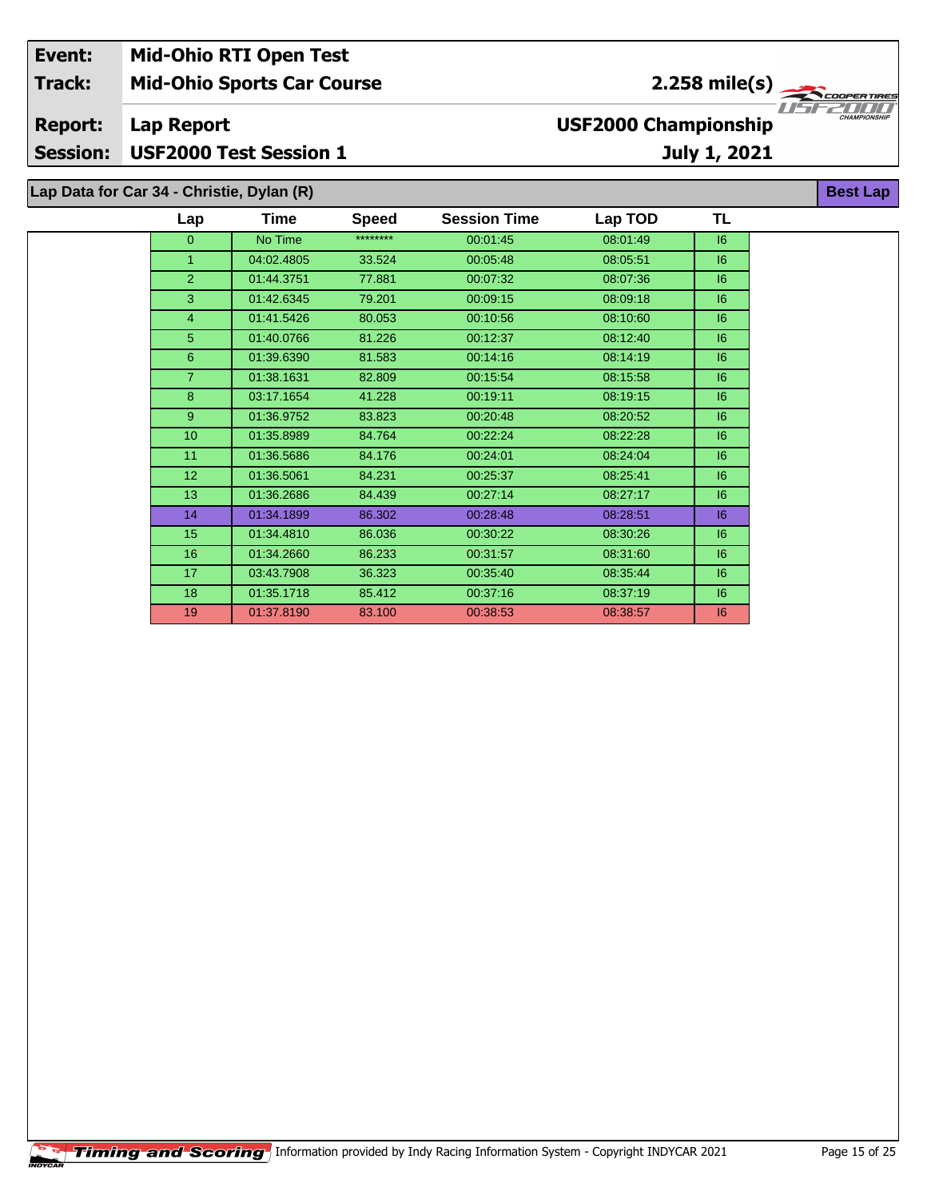| Event:                            |                                           | <b>Mid-Ohio RTI Open Test</b>     |              |                                             |          |                 |                     |  |
|-----------------------------------|-------------------------------------------|-----------------------------------|--------------|---------------------------------------------|----------|-----------------|---------------------|--|
| <b>Track:</b>                     |                                           | <b>Mid-Ohio Sports Car Course</b> |              |                                             |          | $2.258$ mile(s) |                     |  |
| <b>Report:</b><br><b>Session:</b> | Lap Report                                | <b>USF2000 Test Session 1</b>     |              | <b>USF2000 Championship</b><br>July 1, 2021 |          |                 | <b>CHAMPIONSHIP</b> |  |
|                                   | Lap Data for Car 34 - Christie, Dylan (R) |                                   |              |                                             |          |                 | <b>Best Lap</b>     |  |
|                                   | Lap                                       | <b>Time</b>                       | <b>Speed</b> | <b>Session Time</b>                         | Lap TOD  | ΤL              |                     |  |
|                                   | $\Omega$                                  | No Time                           | ********     | 00:01:45                                    | 08:01:49 | 6               |                     |  |
|                                   |                                           | 04:02.4805                        | 33.524       | 00:05:48                                    | 08:05:51 | 6               |                     |  |
|                                   |                                           | 01:44.3751                        | 77.881       | 00:07:32                                    | 08:07:36 | 6               |                     |  |

 01:42.6345 79.201 00:09:15 08:09:18 I6 01:41.5426 80.053 00:10:56 08:10:60 I6 01:40.0766 81.226 00:12:37 08:12:40 I6 01:39.6390 81.583 00:14:16 08:14:19 I6 01:38.1631 82.809 00:15:54 08:15:58 I6 03:17.1654 41.228 00:19:11 08:19:15 I6 01:36.9752 83.823 00:20:48 08:20:52 I6 01:35.8989 84.764 00:22:24 08:22:28 I6 01:36.5686 84.176 00:24:01 08:24:04 I6 01:36.5061 84.231 00:25:37 08:25:41 I6 01:36.2686 84.439 00:27:14 08:27:17 I6 01:34.1899 86.302 00:28:48 08:28:51 I6 01:34.4810 86.036 00:30:22 08:30:26 I6 01:34.2660 86.233 00:31:57 08:31:60 I6 03:43.7908 36.323 00:35:40 08:35:44 I6 01:35.1718 85.412 00:37:16 08:37:19 I6 01:37.8190 83.100 00:38:53 08:38:57 I6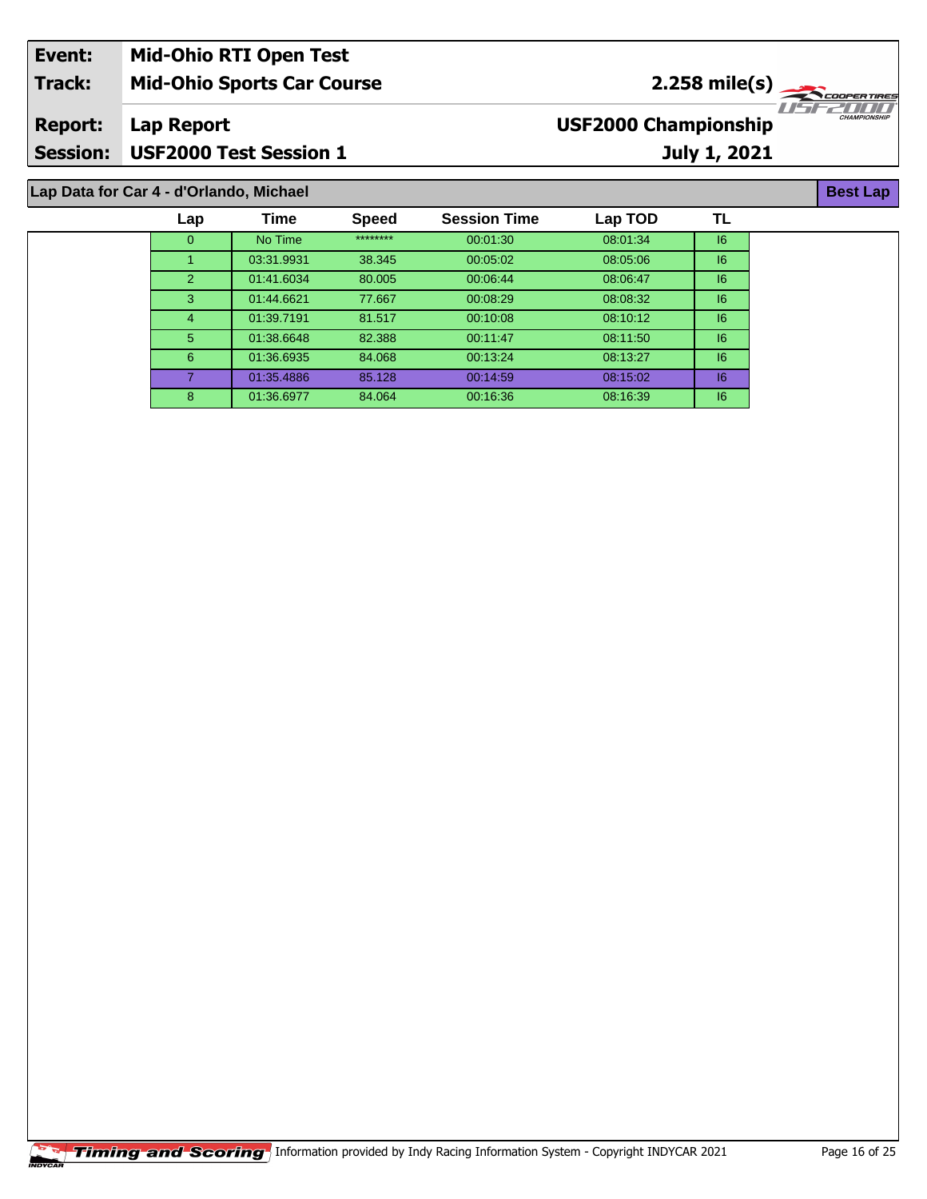| Event:          | <b>Mid-Ohio RTI Open Test</b>           |                             |                     |
|-----------------|-----------------------------------------|-----------------------------|---------------------|
| <b>Track:</b>   | <b>Mid-Ohio Sports Car Course</b>       | $2.258 \text{ mile(s)}$     |                     |
| <b>Report:</b>  | Lap Report                              | <b>USF2000 Championship</b> | <b>CHAMPIONSHIP</b> |
| <b>Session:</b> | USF2000 Test Session 1                  | July 1, 2021                |                     |
|                 |                                         |                             |                     |
|                 | Lap Data for Car 4 - d'Orlando, Michael |                             | <b>Best Lap</b>     |

| Lap      | Time       | <b>Speed</b> | <b>Session Time</b> | Lap TOD  | TL |
|----------|------------|--------------|---------------------|----------|----|
| $\Omega$ | No Time    | ********     | 00:01:30            | 08:01:34 | 6  |
|          | 03:31.9931 | 38.345       | 00:05:02            | 08:05:06 | 6  |
| 2        | 01:41.6034 | 80.005       | 00:06:44            | 08:06:47 | 6  |
| 3        | 01:44.6621 | 77.667       | 00:08:29            | 08:08:32 | 16 |
| 4        | 01:39.7191 | 81.517       | 00:10:08            | 08:10:12 | 6  |
| 5.       | 01:38.6648 | 82.388       | 00:11:47            | 08:11:50 | 16 |
| 6        | 01:36.6935 | 84.068       | 00:13:24            | 08:13:27 | 16 |
|          | 01:35.4886 | 85.128       | 00:14:59            | 08:15:02 | 16 |
| 8        | 01:36.6977 | 84.064       | 00:16:36            | 08:16:39 | 16 |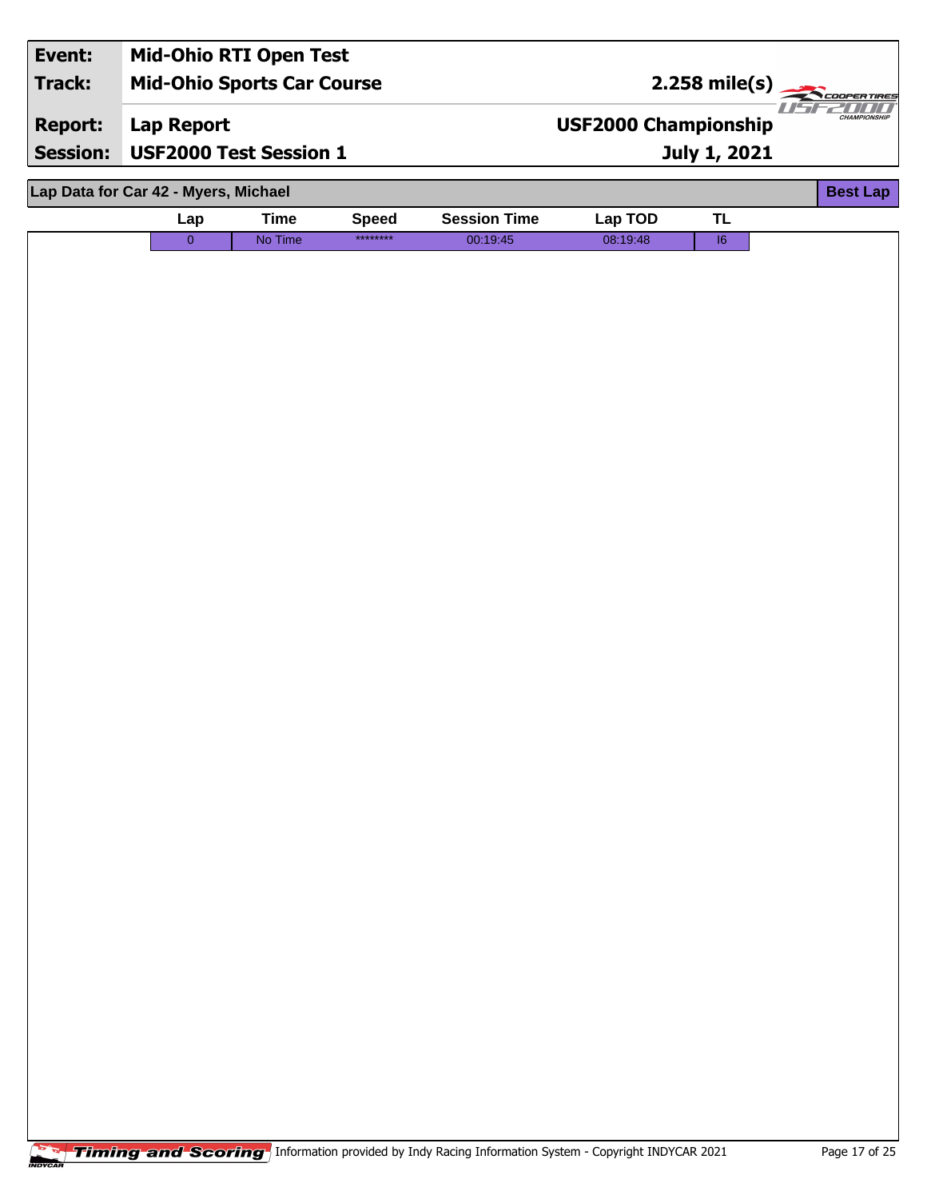| Event:<br>Track:<br><b>Report:</b> | <b>Mid-Ohio RTI Open Test</b><br><b>Mid-Ohio Sports Car Course</b><br>Lap Report |             |              |                     | <b>USF2000 Championship</b> | $2.258 \text{ mile(s)}$ | $II-1$<br><b>CHAMPIONSHIP</b> |
|------------------------------------|----------------------------------------------------------------------------------|-------------|--------------|---------------------|-----------------------------|-------------------------|-------------------------------|
| <b>Session:</b>                    | <b>USF2000 Test Session 1</b>                                                    |             |              |                     | <b>July 1, 2021</b>         |                         |                               |
|                                    | Lap Data for Car 42 - Myers, Michael                                             |             |              |                     |                             |                         | <b>Best Lap</b>               |
|                                    | Lap                                                                              | <b>Time</b> | <b>Speed</b> | <b>Session Time</b> | Lap TOD                     | <b>TL</b>               |                               |
|                                    | $\overline{0}$                                                                   | No Time     | ********     | 00:19:45            | 08:19:48                    | $\overline{16}$         |                               |
|                                    |                                                                                  |             |              |                     |                             |                         |                               |
|                                    |                                                                                  |             |              |                     |                             |                         |                               |
|                                    |                                                                                  |             |              |                     |                             |                         |                               |
|                                    |                                                                                  |             |              |                     |                             |                         |                               |
|                                    |                                                                                  |             |              |                     |                             |                         |                               |
|                                    |                                                                                  |             |              |                     |                             |                         |                               |
|                                    |                                                                                  |             |              |                     |                             |                         |                               |
|                                    |                                                                                  |             |              |                     |                             |                         |                               |
|                                    |                                                                                  |             |              |                     |                             |                         |                               |
|                                    |                                                                                  |             |              |                     |                             |                         |                               |
|                                    |                                                                                  |             |              |                     |                             |                         |                               |
|                                    |                                                                                  |             |              |                     |                             |                         |                               |
|                                    |                                                                                  |             |              |                     |                             |                         |                               |
|                                    |                                                                                  |             |              |                     |                             |                         |                               |
|                                    |                                                                                  |             |              |                     |                             |                         |                               |
|                                    |                                                                                  |             |              |                     |                             |                         |                               |
|                                    |                                                                                  |             |              |                     |                             |                         |                               |
|                                    |                                                                                  |             |              |                     |                             |                         |                               |
|                                    |                                                                                  |             |              |                     |                             |                         |                               |
|                                    |                                                                                  |             |              |                     |                             |                         |                               |
|                                    |                                                                                  |             |              |                     |                             |                         |                               |
|                                    |                                                                                  |             |              |                     |                             |                         |                               |
|                                    |                                                                                  |             |              |                     |                             |                         |                               |
|                                    |                                                                                  |             |              |                     |                             |                         |                               |
|                                    |                                                                                  |             |              |                     |                             |                         |                               |
|                                    |                                                                                  |             |              |                     |                             |                         |                               |
|                                    |                                                                                  |             |              |                     |                             |                         |                               |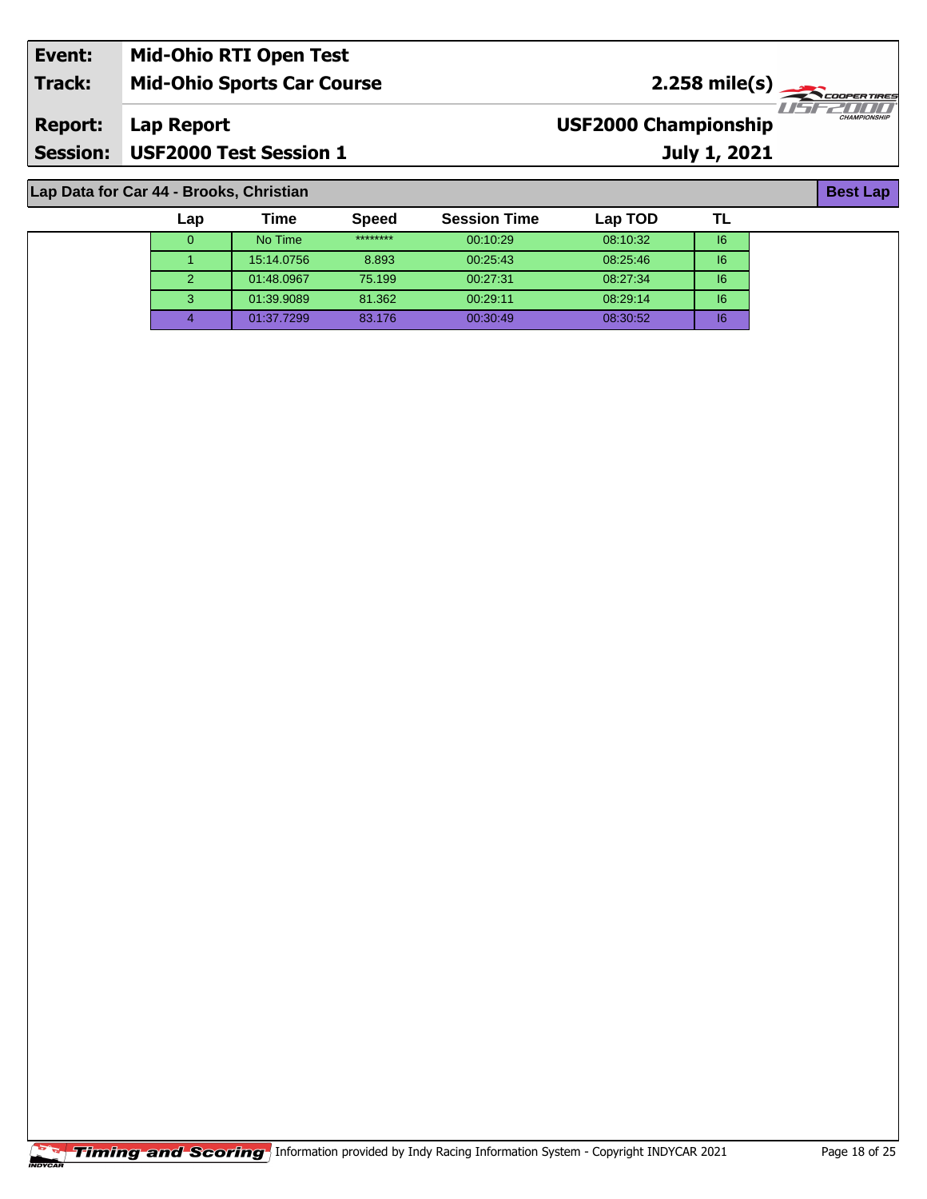| Event:          | <b>Mid-Ohio RTI Open Test</b>     |                                                    |
|-----------------|-----------------------------------|----------------------------------------------------|
| <b>Track:</b>   | <b>Mid-Ohio Sports Car Course</b> | $2.258 \text{ mile(s)}$                            |
| <b>Report:</b>  | Lap Report                        | <b>CHAMPIONSHIP</b><br><b>USF2000 Championship</b> |
| <b>Session:</b> | <b>USF2000 Test Session 1</b>     | July 1, 2021                                       |

**Lap Data for Car 44 - Brooks, Christian**

| Lap      | Гіmе       | <b>Speed</b> | <b>Session Time</b> | Lap TOD  |    |
|----------|------------|--------------|---------------------|----------|----|
| $\Omega$ | No Time    | ********     | 00:10:29            | 08:10:32 | 16 |
|          | 15:14.0756 | 8.893        | 00:25:43            | 08:25:46 | 6  |
|          | 01:48.0967 | 75.199       | 00:27:31            | 08:27:34 | 16 |
| 3        | 01:39.9089 | 81.362       | 00:29:11            | 08:29:14 | 16 |
|          | 01:37.7299 | 83.176       | 00:30:49            | 08:30:52 | 16 |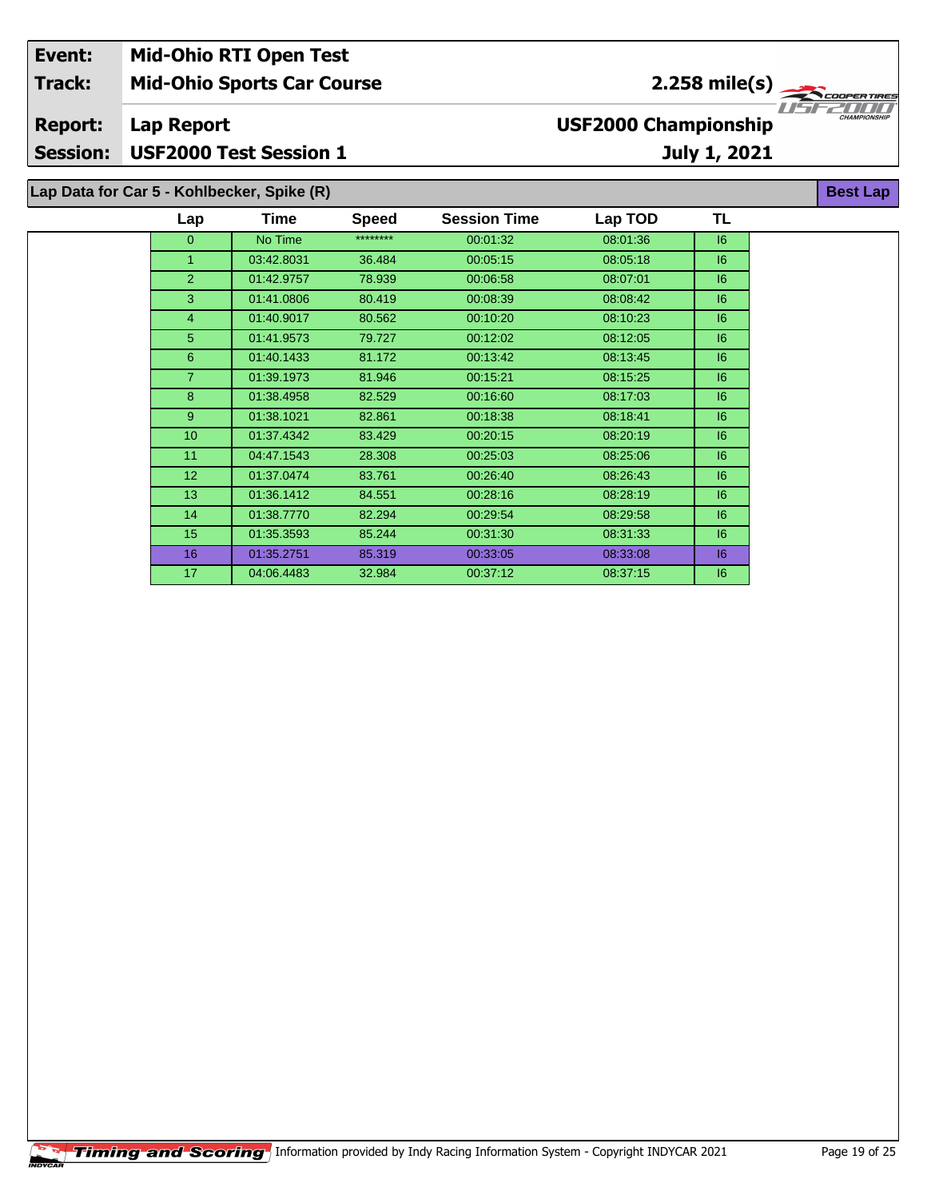| Event:                                             | <b>Mid-Ohio RTI Open Test</b>              |                               |              |                                             |                 |    |                     |  |
|----------------------------------------------------|--------------------------------------------|-------------------------------|--------------|---------------------------------------------|-----------------|----|---------------------|--|
| <b>Track:</b><br><b>Mid-Ohio Sports Car Course</b> |                                            |                               |              |                                             | $2.258$ mile(s) |    |                     |  |
| <b>Report:</b><br><b>Session:</b>                  | Lap Report                                 | <b>USF2000 Test Session 1</b> |              | <b>USF2000 Championship</b><br>July 1, 2021 |                 |    | <b>CHAMPIONSHIP</b> |  |
|                                                    | Lap Data for Car 5 - Kohlbecker, Spike (R) |                               |              |                                             |                 |    | <b>Best Lap</b>     |  |
|                                                    | Lap                                        | <b>Time</b>                   | <b>Speed</b> | <b>Session Time</b>                         | Lap TOD         | TL |                     |  |
|                                                    | 0                                          | No Time                       | ********     | 00:01:32                                    | 08:01:36        | 6  |                     |  |
|                                                    |                                            | 03:42.8031                    | 36.484       | 00:05:15                                    | 08:05:18        | 6  |                     |  |
|                                                    |                                            | 01:42.9757                    | 78.939       | 00:06:58                                    | 08:07:01        | 6  |                     |  |

 01:41.0806 80.419 00:08:39 08:08:42 I6 01:40.9017 80.562 00:10:20 08:10:23 I6 01:41.9573 79.727 00:12:02 08:12:05 I6 01:40.1433 81.172 00:13:42 08:13:45 I6 01:39.1973 81.946 00:15:21 08:15:25 I6 8 01:38.4958 82.529 00:16:60 08:17:03 08:17 01:38.1021 82.861 00:18:38 08:18:41 I6 01:37.4342 83.429 00:20:15 08:20:19 I6 04:47.1543 28.308 00:25:03 08:25:06 I6 01:37.0474 83.761 00:26:40 08:26:43 I6 01:36.1412 84.551 00:28:16 08:28:19 I6 01:38.7770 82.294 00:29:54 08:29:58 I6 01:35.3593 85.244 00:31:30 08:31:33 I6 01:35.2751 85.319 00:33:05 08:33:08 I6 04:06.4483 32.984 00:37:12 08:37:15 I6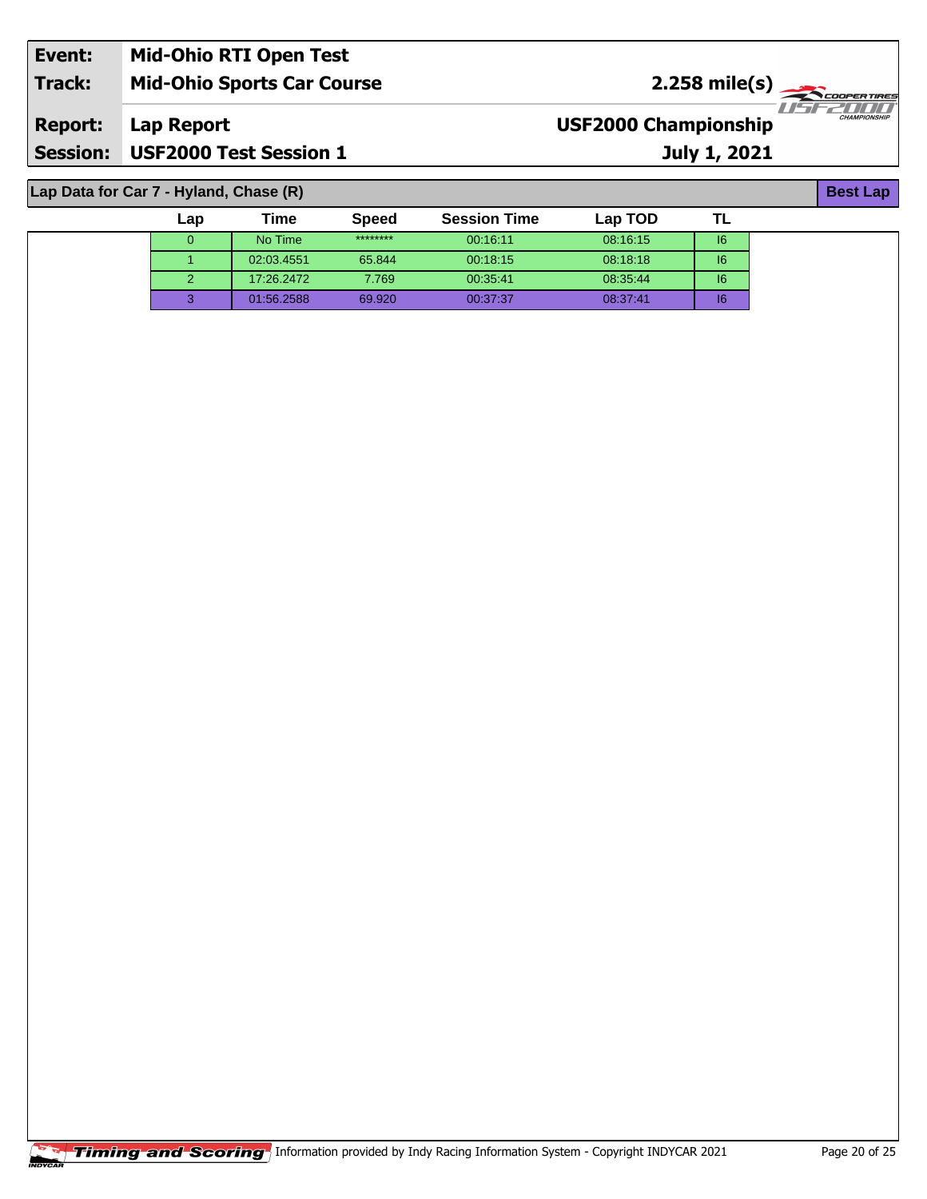| Event:          | <b>Mid-Ohio RTI Open Test</b>     |                                                               |
|-----------------|-----------------------------------|---------------------------------------------------------------|
| <b>Track:</b>   | <b>Mid-Ohio Sports Car Course</b> | $2.258 \text{ mile(s)}$                                       |
| <b>Report:</b>  | Lap Report                        | TEZTITI<br><b>CHAMPIONSHIP</b><br><b>USF2000 Championship</b> |
| <b>Session:</b> | <b>USF2000 Test Session 1</b>     | July 1, 2021                                                  |

**Lap Data for Car 7 - Hyland, Chase (R)**

| Lap | Time       | <b>Speed</b> | <b>Session Time</b> | Lap TOD  |    |
|-----|------------|--------------|---------------------|----------|----|
|     | No Time    | ********     | 00.16.11            | 08:16:15 | 16 |
|     | 02:03.4551 | 65.844       | 00:18:15            | 08:18:18 | 16 |
|     | 17:26.2472 | 7.769        | 00:35:41            | 08:35:44 | 16 |
|     | 01:56.2588 | 69.920       | 00:37:37            | 08:37:41 | 16 |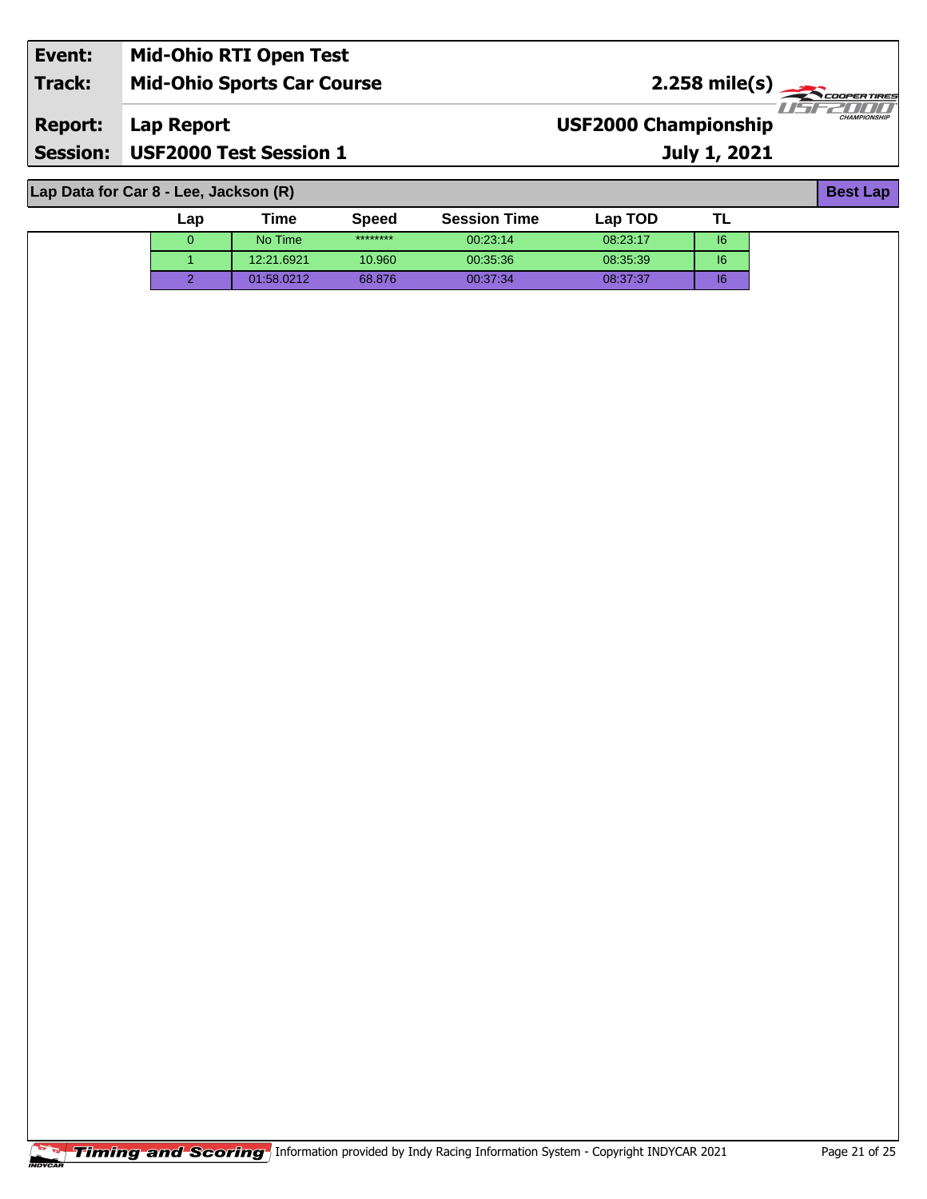| Event:          | <b>Mid-Ohio RTI Open Test</b>     |                             |                                        |
|-----------------|-----------------------------------|-----------------------------|----------------------------------------|
| Track:          | <b>Mid-Ohio Sports Car Course</b> | $2.258$ mile(s)             |                                        |
| <b>Report:</b>  | <b>Lap Report</b>                 | <b>USF2000 Championship</b> | <i>HSEZHILI</i><br><b>CHAMPIONSHIP</b> |
| <b>Session:</b> | <b>USF2000 Test Session 1</b>     | July 1, 2021                |                                        |

**Lap Data for Car 8 - Lee, Jackson (R)**

| Lap | Time       | <b>Speed</b> | <b>Session Time</b> | Lap TOD  |          |  |
|-----|------------|--------------|---------------------|----------|----------|--|
| v   | No Time    | ********     | 00:23:14            | 08:23:17 | 6        |  |
|     | 12:21.6921 | 10.960       | 00:35:36            | 08:35:39 | 6        |  |
|     | 01:58.0212 | 68,876       | 00:37:34            | 08:37:37 | чe<br>ıc |  |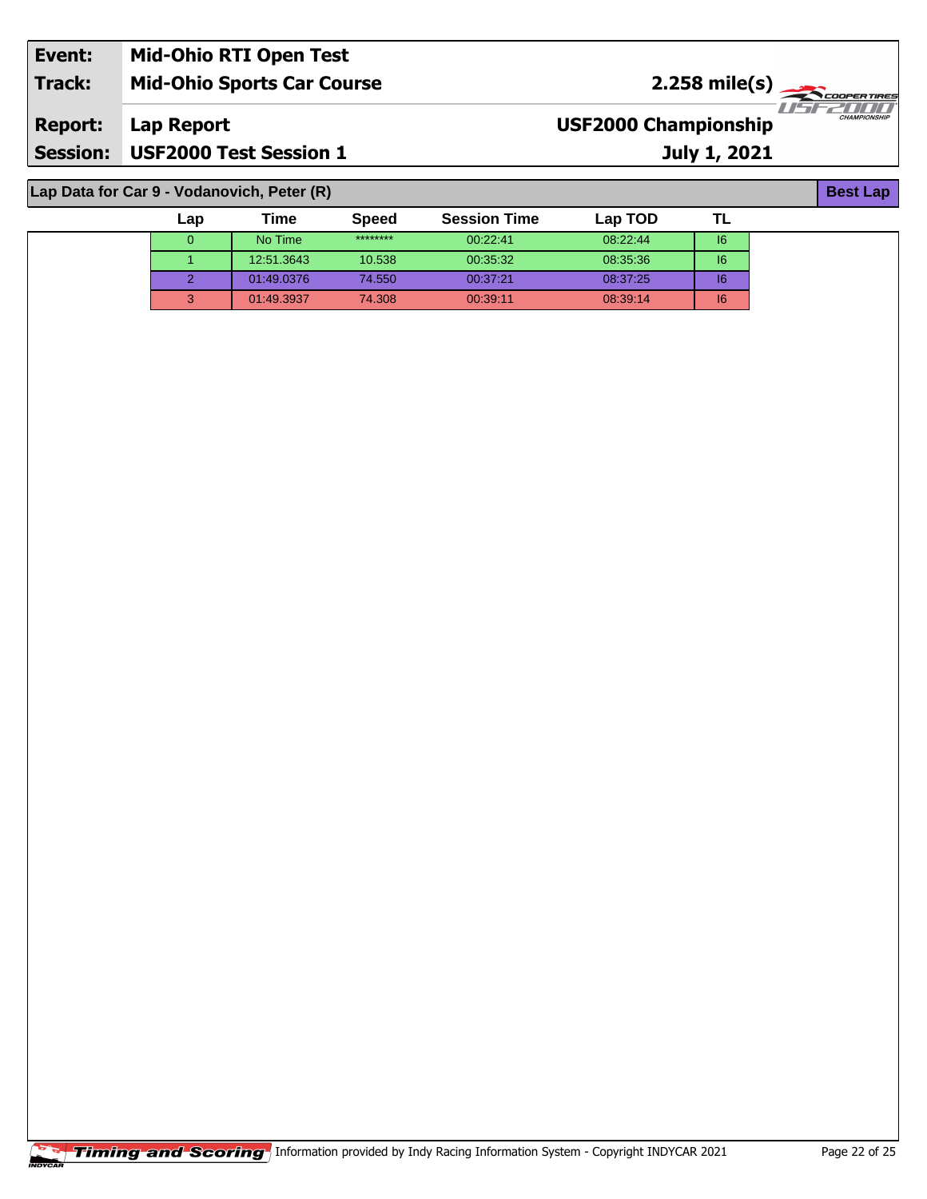| Event:          | <b>Mid-Ohio RTI Open Test</b>              |                             |                                    |
|-----------------|--------------------------------------------|-----------------------------|------------------------------------|
| <b>Track:</b>   | <b>Mid-Ohio Sports Car Course</b>          | $2.258 \text{ mile(s)}$     |                                    |
| <b>Report:</b>  | Lap Report                                 | <b>USF2000 Championship</b> | 71575317111<br><b>CHAMPIONSHIP</b> |
| <b>Session:</b> | <b>USF2000 Test Session 1</b>              | July 1, 2021                |                                    |
|                 | Lap Data for Car 9 - Vodanovich, Peter (R) |                             | <b>Best Lap</b>                    |

**| No Time** \*\*\*\*\*\*\*\* 00:22:41 08:22:44 **| I**6 12:51.3643 10.538 00:35:32 08:35:36 I6 01:49.0376 74.550 00:37:21 08:37:25 I6 01:49.3937 74.308 00:39:11 08:39:14 I6

**TL**

**Lap Time Speed Session Time Lap TOD**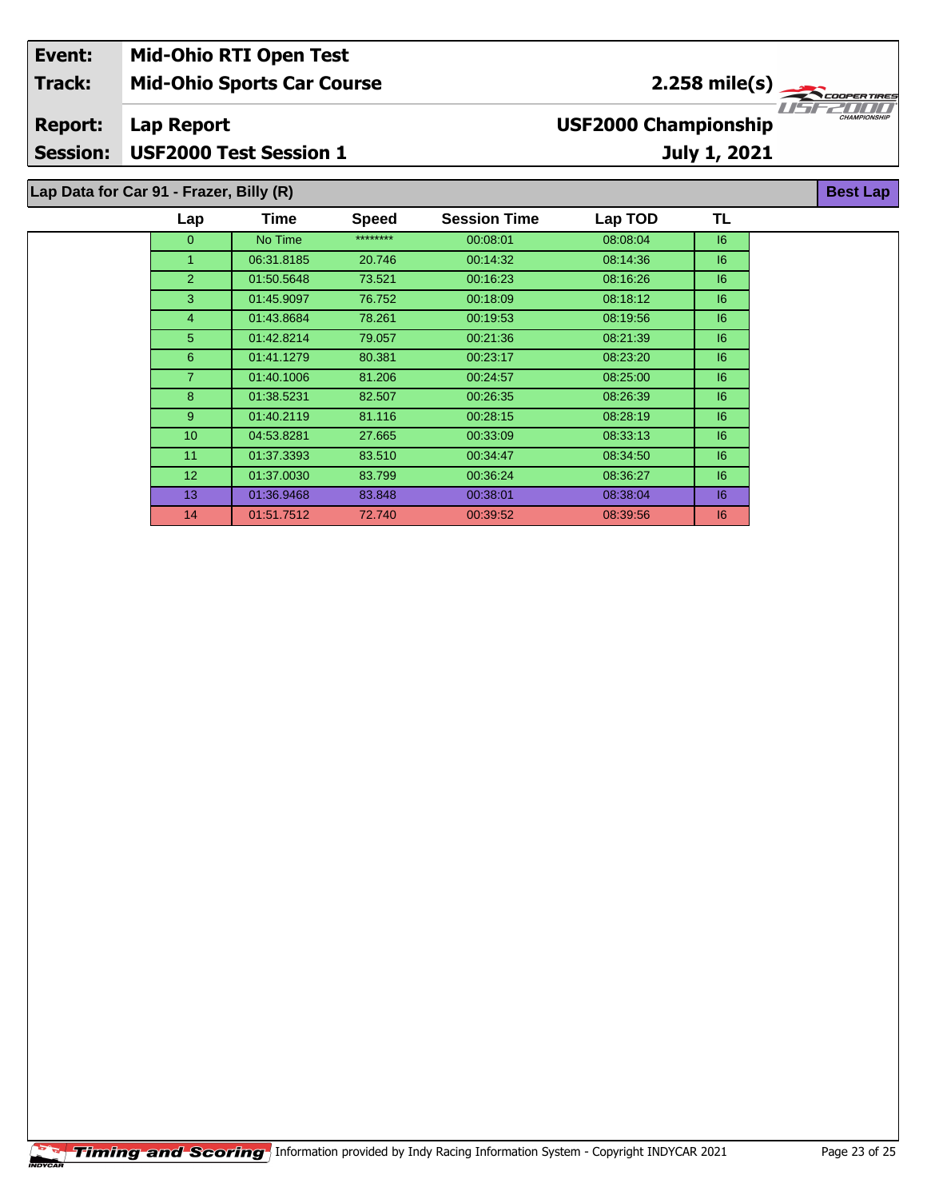| <b>Mid-Ohio RTI Open Test</b><br>Event: |                                         |      |       |                      |                             |              |                     |
|-----------------------------------------|-----------------------------------------|------|-------|----------------------|-----------------------------|--------------|---------------------|
| <b>Track:</b>                           | <b>Mid-Ohio Sports Car Course</b>       |      |       | 2.258 mile(s) $\sim$ |                             |              | <b>COOPERTIRES</b>  |
| <b>Report:</b>                          | Lap Report                              |      |       |                      | <b>USF2000 Championship</b> |              | <b>CHAMPIONSHIP</b> |
| <b>Session:</b>                         | <b>USF2000 Test Session 1</b>           |      |       |                      |                             | July 1, 2021 |                     |
|                                         | Lap Data for Car 91 - Frazer, Billy (R) |      |       |                      |                             |              | <b>Best Lap</b>     |
|                                         | 2n                                      | Tima | Snood | Session Time         | an TOD                      | ΤI           |                     |

| ********<br>No Time<br>08:08:04<br> 6 <br>$\mathbf{0}$<br>00:08:01<br>08:14:36<br>16<br>1.<br>06:31.8185<br>20.746<br>00:14:32<br>$\overline{2}$<br>01:50.5648<br>73.521<br>00:16:23<br>08:16:26<br>16<br>3<br>01:45.9097<br>00:18:09<br>08:18:12<br>16<br>76.752<br>$\overline{4}$<br>16<br>01:43.8684<br>78.261<br>00:19:53<br>08:19:56<br>5<br>01:42.8214<br>79.057<br>00:21:36<br>08:21:39<br>16<br>6<br>01:41.1279<br>80.381<br>16<br>00:23:17<br>08:23:20<br>$\overline{7}$<br>01:40.1006<br>16<br>81.206<br>00:24:57<br>08:25:00<br>8<br>01:38.5231<br>82.507<br>00:26:35<br>08:26:39<br>16<br>9<br>01:40.2119<br>81.116<br>16<br>00:28:15<br>08:28:19<br>10 <sup>1</sup><br>16<br>04.53.8281<br>27.665<br>00:33:09<br>08:33:13<br>11<br>01:37.3393<br>83.510<br>00:34:47<br>08:34:50<br> 6 <br>12 <sup>2</sup><br>01:37.0030<br>16<br>83.799<br>00:36:24<br>08:36:27<br>13<br>01:36.9468<br> 6 <br>83.848<br>00:38:01<br>08:38:04<br>14<br>01:51.7512<br>08:39:56<br>72.740<br>00:39:52<br>16 | Lap | Time | <b>Speed</b> | <b>Session Time</b> | Lap TOD | TL |
|-------------------------------------------------------------------------------------------------------------------------------------------------------------------------------------------------------------------------------------------------------------------------------------------------------------------------------------------------------------------------------------------------------------------------------------------------------------------------------------------------------------------------------------------------------------------------------------------------------------------------------------------------------------------------------------------------------------------------------------------------------------------------------------------------------------------------------------------------------------------------------------------------------------------------------------------------------------------------------------------------------|-----|------|--------------|---------------------|---------|----|
|                                                                                                                                                                                                                                                                                                                                                                                                                                                                                                                                                                                                                                                                                                                                                                                                                                                                                                                                                                                                       |     |      |              |                     |         |    |
|                                                                                                                                                                                                                                                                                                                                                                                                                                                                                                                                                                                                                                                                                                                                                                                                                                                                                                                                                                                                       |     |      |              |                     |         |    |
|                                                                                                                                                                                                                                                                                                                                                                                                                                                                                                                                                                                                                                                                                                                                                                                                                                                                                                                                                                                                       |     |      |              |                     |         |    |
|                                                                                                                                                                                                                                                                                                                                                                                                                                                                                                                                                                                                                                                                                                                                                                                                                                                                                                                                                                                                       |     |      |              |                     |         |    |
|                                                                                                                                                                                                                                                                                                                                                                                                                                                                                                                                                                                                                                                                                                                                                                                                                                                                                                                                                                                                       |     |      |              |                     |         |    |
|                                                                                                                                                                                                                                                                                                                                                                                                                                                                                                                                                                                                                                                                                                                                                                                                                                                                                                                                                                                                       |     |      |              |                     |         |    |
|                                                                                                                                                                                                                                                                                                                                                                                                                                                                                                                                                                                                                                                                                                                                                                                                                                                                                                                                                                                                       |     |      |              |                     |         |    |
|                                                                                                                                                                                                                                                                                                                                                                                                                                                                                                                                                                                                                                                                                                                                                                                                                                                                                                                                                                                                       |     |      |              |                     |         |    |
|                                                                                                                                                                                                                                                                                                                                                                                                                                                                                                                                                                                                                                                                                                                                                                                                                                                                                                                                                                                                       |     |      |              |                     |         |    |
|                                                                                                                                                                                                                                                                                                                                                                                                                                                                                                                                                                                                                                                                                                                                                                                                                                                                                                                                                                                                       |     |      |              |                     |         |    |
|                                                                                                                                                                                                                                                                                                                                                                                                                                                                                                                                                                                                                                                                                                                                                                                                                                                                                                                                                                                                       |     |      |              |                     |         |    |
|                                                                                                                                                                                                                                                                                                                                                                                                                                                                                                                                                                                                                                                                                                                                                                                                                                                                                                                                                                                                       |     |      |              |                     |         |    |
|                                                                                                                                                                                                                                                                                                                                                                                                                                                                                                                                                                                                                                                                                                                                                                                                                                                                                                                                                                                                       |     |      |              |                     |         |    |
|                                                                                                                                                                                                                                                                                                                                                                                                                                                                                                                                                                                                                                                                                                                                                                                                                                                                                                                                                                                                       |     |      |              |                     |         |    |
|                                                                                                                                                                                                                                                                                                                                                                                                                                                                                                                                                                                                                                                                                                                                                                                                                                                                                                                                                                                                       |     |      |              |                     |         |    |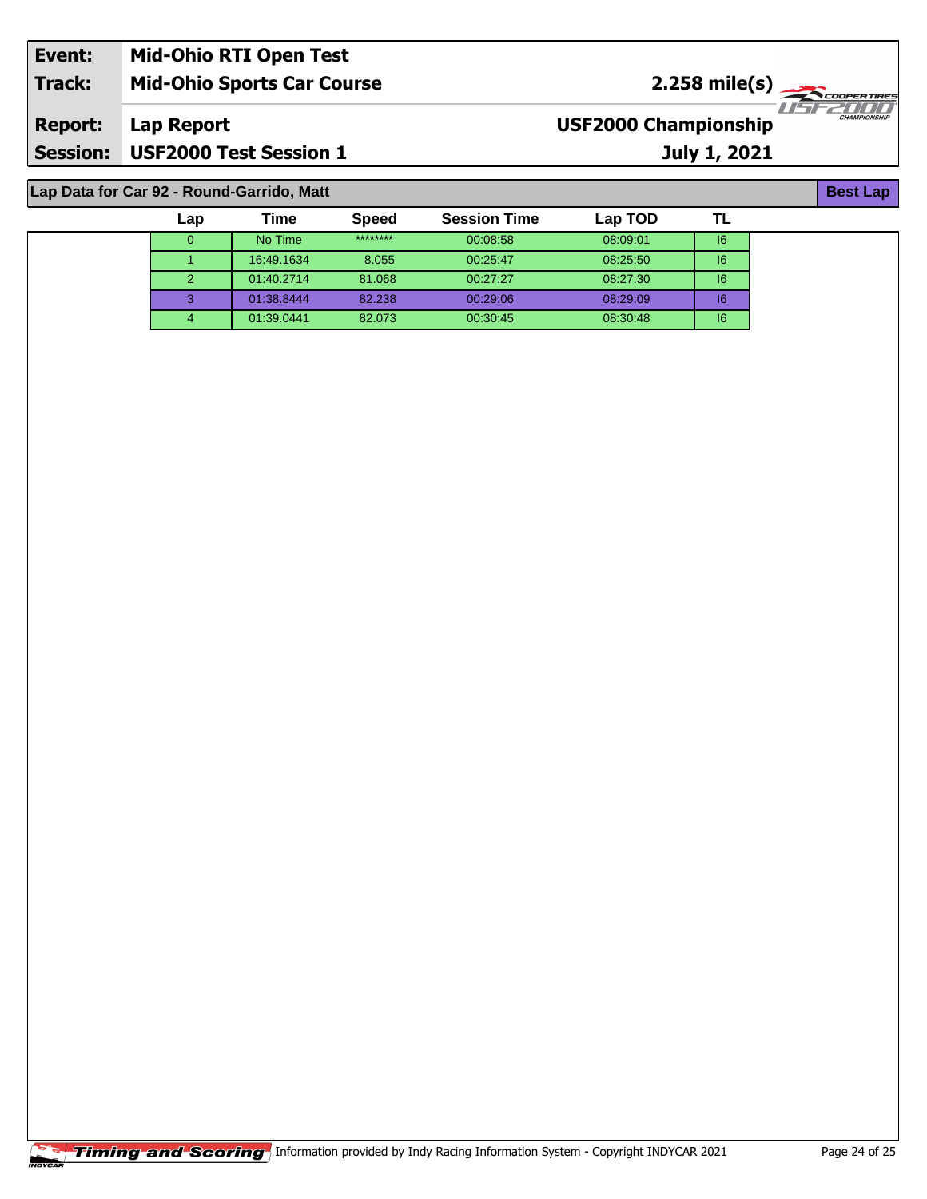| Event:          | <b>Mid-Ohio RTI Open Test</b>     |                                                                  |
|-----------------|-----------------------------------|------------------------------------------------------------------|
| <b>Track:</b>   | <b>Mid-Ohio Sports Car Course</b> | $2.258 \text{ mile(s)}$                                          |
| <b>Report:</b>  | Lap Report                        | 'Ustradion<br><b>CHAMPIONSHIP</b><br><b>USF2000 Championship</b> |
| <b>Session:</b> | <b>USF2000 Test Session 1</b>     | <b>July 1, 2021</b>                                              |

## **Lap Data for Car 92 - Round-Garrido, Matt**

| Lap           | Time       | <b>Speed</b> | <b>Session Time</b> | Lap TOD  |    |
|---------------|------------|--------------|---------------------|----------|----|
|               | No Time    | ********     | 00:08:58            | 08:09:01 | 16 |
|               | 16:49.1634 | 8.055        | 00:25:47            | 08:25:50 | 16 |
| $\mathcal{P}$ | 01:40.2714 | 81.068       | 00:27:27            | 08:27:30 | 16 |
| 3             | 01:38.8444 | 82.238       | 00:29:06            | 08:29:09 | 16 |
| 4             | 01:39.0441 | 82.073       | 00:30:45            | 08:30:48 | 16 |